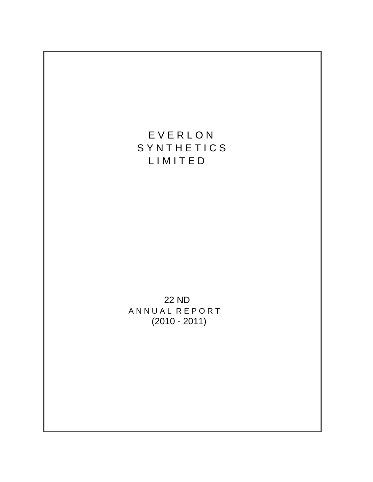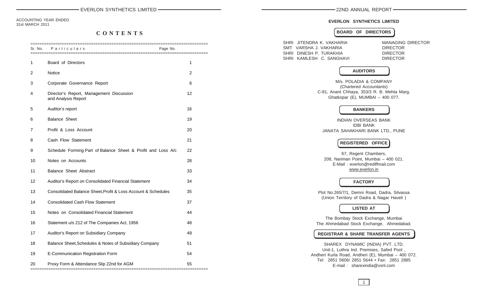ACCOUNTING YEAR ENDED 31st MARCH 2011

# **C O N T E N T S**

| Sr. No. | Particulars                                                     | =================<br>Page No. |
|---------|-----------------------------------------------------------------|-------------------------------|
| 1       | Board of Directors                                              | 1                             |
| 2       | Notice                                                          | $\overline{2}$                |
| 3       | Corporate Governance Report                                     | 6                             |
| 4       | Director's Report, Management Discussion<br>and Analysis Report | 12                            |
| 5       | Auditor's report                                                | 16                            |
| 6       | <b>Balance Sheet</b>                                            | 19                            |
| 7       | Profit & Loss Account                                           | 20                            |
| 8       | Cash Flow Statement                                             | 21                            |
| 9       | Schedule Forming Part of Balance Sheet & Profit and Loss A/c    | 22                            |
| 10      | Notes on Accounts                                               | 28                            |
| 11      | <b>Balance Sheet Abstract</b>                                   | 33                            |
| 12      | Auditor's Report on Consolidated Financial Statement            | 34                            |
| 13      | Consolidated Balance Sheet, Profit & Loss Account & Schedules   | 35                            |
| 14      | <b>Consolidated Cash Flow Statement</b>                         | 37                            |
| 15      | Notes on Consolidated Financial Statement                       | 44                            |
| 16      | Statement u/s 212 of The Companies Act, 1956                    | 48                            |
| 17      | Auditor's Report on Subsidiary Company                          | 49                            |
| 18      | Balance Sheet, Schedules & Notes of Subsidiary Company          | 51                            |
| 19      | E-Communication Registration Form                               | 54                            |
| 20      | Proxy Form & Attendance Slip 22nd for AGM                       | 55                            |

# **EVERLON SYNTHETICS LIMITED**

# **BOARD OF DIRECTORS**

| SHRI JITENDRA K. VAKHARIA<br>SMT VARSHA J. VAKHARIA<br>SHRI DINESH P. TURAKHIA                   |                                                                                                                   | <b>MANAGING DIRECTOR</b><br><b>DIRECTOR</b><br><b>DIRECTOR</b> |
|--------------------------------------------------------------------------------------------------|-------------------------------------------------------------------------------------------------------------------|----------------------------------------------------------------|
| SHRI KAMLESH C. SANGHAVI                                                                         | <b>AUDITORS</b>                                                                                                   | <b>DIRECTOR</b>                                                |
| C-81, Anant Chhaya, 353/3 R. B. Mehta Marg,                                                      | M/s. POLADIA & COMPANY<br>(Chartered Accountants)<br>Ghatkopar (E), MUMBAI - 400 077.                             |                                                                |
|                                                                                                  | <b>BANKERS</b>                                                                                                    |                                                                |
|                                                                                                  | INDIAN OVERSEAS BANK<br><b>IDBI BANK</b><br>JANATA SAHAKHARI BANK LTD., PUNE                                      |                                                                |
|                                                                                                  | <b>REGISTERED OFFICE</b>                                                                                          |                                                                |
|                                                                                                  | 67, Regent Chambers,<br>208, Nariman Point, Mumbai - 400 021.<br>E-Mail: everlon@rediffmail.com<br>www.everlon.in |                                                                |
|                                                                                                  | <b>FACTORY</b>                                                                                                    |                                                                |
| Plot No.265/7/1, Demni Road, Dadra, Silvassa                                                     | (Union Territory of Dadra & Nagar Haveli)                                                                         |                                                                |
|                                                                                                  | <b>LISTED AT</b>                                                                                                  |                                                                |
| The Ahmedabad Stock Exchange, Ahmedabad.                                                         | The Bombay Stock Exchange, Mumbai                                                                                 |                                                                |
| <b>REGISTRAR &amp; SHARE TRANSFER AGENTS</b>                                                     |                                                                                                                   |                                                                |
| Andheri Kurla Road, Andheri (E), Mumbai - 400 072.<br>Tel: 2851 5606/ 2851 5644 · Fax: 2851 2885 | SHAREX DYNAMIC (INDIA) PVT. LTD.<br>Unit-1, Luthra Ind. Premises, Safed Pool,<br>E-mail: sharexindia@vsnl.com     |                                                                |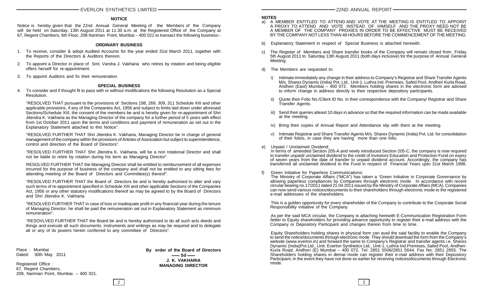### **NOTICE**

Notice is hereby given that the 22nd Annual General Meeting of the Members of the Company will be held on Saturday, 13th August 2011 at 11.30 a.m. at the Registered Office of the Company at 67, Regent Chambers, 6th Floor, 208 Nariman Point, Mumbai – 400 021 to transact the following business:-

#### **ORDINARY BUSINESS**

- 1. To receive, consider & adopt Audited Accounts for the year ended 31st March 2011, together with the Reports of the Directors & Auditors thereon.
- 2. To appoint a Director in place of Smt. Varsha J. Vakharia who retires by rotation and being eligible offers herself for re-appointment.
- 3. To appoint Auditors and fix their remuneration.

#### **SPECIAL BUSINESS**

4. To consider and if thought fit to pass with or without modifications the following Resolution as a Special Resolution.

"RESOLVED THAT pursuant to the provisions of Sections 198, 269, 309, 311 Schedule XIII and other applicable provisions, if any of the Companies Act, 1956 and subject to limits laid down under aforesaid Sections/Schedule XIII, the consent of the members be and is hereby given for re-appointment of Shri Jitendra K. Vakharia as the Managing Director of the company for a further period of 5 years with effect from 1st October 2011 upon the terms and conditions and payment of remuneration as set out in the Explanatory Statement attached to this Notice".

"RESOLVED FURTHER THAT Shri Jitendra K. Vakharia, Managing Director be in charge of general management of the company within the provisions of Articles of Association but subject to superintendence, control and direction of the Board of Directors".

"RESOLVED FURTHER THAT Shri Jitendra K. Vakharia, will be a non rotational Director and shall not be liable to retire by rotation during his term as Managing Director".

RESOLVED FURTHER THAT the Managing Director shall be entitled to reimbursement of all expenses incurred for the purpose of business of the company and shall not be entitled to any sitting fees for attending meeting of the Board of Directors and Committee(s) thereof".

"RESOLVED FURTHER THAT the Board of Directors be and is hereby authorised to alter and vary such terms of re-appointment specified in Schedule XIII and other applicable Sections of the Companies Act, 1956 or any other statutory modifications thereof as may be agreed to by the Board of Directors and Shri Jitendra K. Vakharia.

"RESOLVED FURTHER THAT in case of loss or inadequate profit in any financial year during the tenure of Managing Director, he shall be paid the remuneration set out in Explanatory Statement as minimum remuneration".

"RESOVLVED FURTHER THAT the Board be and is hereby authorised to do all such acts deeds and things and execute all such documents, instruments and writings as may be required and to delegate all or any of its powers herein conferred to any committee of Directors".

Place : Mumbai Dated: 30th May 2011

Registered Office : 67, Regent Chambers, 208, Nariman Point, Mumbai. – 400 021. **By order of the Board of Directors**  $\equiv$  Sd  $\equiv$ **J. K. VAKHARIA MANAGING DIRECTOR**

#### **NOTES**

- a) A MEMBER ENTITLED TO ATTEND AND VOTE AT THE MEETING IS ENTITLED TO APPOINT A PROXY TO ATTEND AND VOTE INSTEAD OF HIMSELF AND THE PROXY NEED NOT BE A MEMBER OF THE COMPANY PROXIES IN ORDER TO BE EFFECTIVE MUST BE RECEIVED BY THE COMPANY NOT LESS THAN 48 HOURS BEFORE THE COMMENCEMENT OF THE MEETING.
- b) Explanatory Statement in respect of Special Business is attached herewith.
- The Register of Members and Share transfer books of the Company will remain closed from Friday 5th August 2011 to Saturday 13th August 2011 (both days inclusive) for the purpose of Annual General Meeting.
- d) The Members are requested to:
	- i) Intimate immediately any change in their address to Company's Registrar and Share Transfer Agents M/s. Sharex Dynamic (India) Pvt. Ltd., Unit-1, Luthra Ind. Premsies, Safed Pool, Andheri Kurla Road, Andheri (East) Mumbai – 400 072. Members holding shares in the electronic form are advised to inform change in address directly to their respective depository participants.
	- ii) Quote their Folio No./Client ID No. in their correspondence with the Company/ Registrar and Share Transfer Agents.
	- iii) Send their queries atleast 10 days in advance so that the required information can be made available at the meeting.
	- iv) Bring their copies of Annual Report and Attendance slip with them at the meeting.
	- v) Intimate Registrar and Share Transfer Agents M/s. Sharex Dynamic (India) Pvt. Ltd. for consolidation of their folios, in case they are having more than one folio.

e) Unpaid / Unclaimed Dividend:

In terms of amended Section 205-A and newly introduced Section 205-C, the company is now required to transfer unpaid/ unclaimed dividend to the credit of Investors Education and Protection Fund on expiry of seven years from the date of transfer to unpaid dividend account. Accordingly, the company has transferred all unclaimed dividend to the Fund in respect of Financial Years upto 31st March 1998.

Green Initiative for Paperless Communications:

The Ministry of Corporate Affairs ("MCA") has taken a 'Green Initiative in Corporate Governance by allowing paperless compliances by Companies through electronic mode. In accordance with recent circular bearing no.17/2011 dated 21.04.2011 issued by the Ministry of Corporate Affairs (MCA), Companies can now send various notices/documents to their shareholders through electronic mode to the registered e-mail addresses of the shareholders.

This is a golden opportunity for every shareholder of the Company to contribute to the Corporate Social Responsibility initiative of the Company.

As per the said MCA circular, the Company is attaching herewith E-Communication Registration Form /letter to Equity shareholders for providing advance opportunity to register their e-mail address with the Company or Depository Participant and changes therein from time to time.

Equity Shareholders holding shares in physical form can avail the said facility to enable the Company to send the notice/documents through electronic mode. They should download the form from the Company's website (www.everlon.in) and forward the same to Company's Registrar and transfer agents i.e. Sharex Dynamic (India)Pvt.Ltd., Unit: Everlon Synthetics Ltd., Unit-1, Luthra Ind.Premises, Safed Pool, Andheri-Kurla Road, Andheri (E) Mumbai – 400 072. Tel: 2851 5506/2851 5644, Fax No: 2851 2855. The Shareholders holding shares in demat mode can register their e-mail address with their Depository Participant, in the event they have not done so earlier for receiving notices/documents through Electronic mode.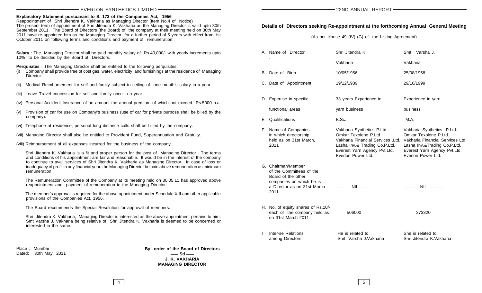**Explanatory Statement pursuanant to S. 173 of the Companies Act, 1956**

Reappointment of Shri Jitendra K. Vakharia as Managing Director (Item No.4 of Notice) The present term of appointment of Shri Jitendra K. Vakharia as the Managing Director is valid upto 30th September 2011. The Board of Directors (the Board) of the company at their meeting held on 30th May 2011 have re-appointed him as the Managing Director for a further period of 5 years with effect from 1st October 2011 on following terms and conditions and payment of remuneration:

**Salary** : The Managing Director shall be paid monthly salary of Rs.40,000/- with yearly increments upto 10% to be decided by the Board of Directors.

**Perquisites** : The Managing Director shall be entitled to the following perquisites:

- (i) Company shall provide free of cost gas, water, electricity and furnishings at the residence of Managing Director.
- (ii) Medical Reimbursement for self and family subject to ceiling of one month's salary in a year.
- (iii) Leave Travel concession for self and family once in a year.
- (iv) Personal Accident Insurance of an amount the annual premium of which not exceed Rs.5000 p.a.
- (v) Provision of car for use on Company's business (use of car for private purpose shall be billed by the company).
- (vi) Telephone at residence, personal long distance calls shall be billed by the company.
- (vii) Managing Director shall also be entitled to Provident Fund, Superannuation and Gratuity.
- (viii) Reimbursement of all expenses incurred for the business of the company.

Shri Jitendra K. Vakharia is a fit and proper person for the post of Managing Director. The terms and conditions of his appointment are fair and reasonable. It would be in the interest of the company to continue to avail services of Shri Jitendra K. Vakharia as Managing Director. In case of loss or inadequacy of profit in any financial year, the Managing Director be paid above remuneration as minimum remuneration.

The Remuneration Committee of the Company at its meeting held on 30.05.11 has approved above reappointment and payment of remuneration to the Managing Director.

The member's approval is required for the above appointment under Schedule XIII and other applicable provisions of the Companies Act, 1956.

The Board recommends the Special Resolution for approval of members.

Shri Jitendra K. Vakharia, Managing Director is interested as the above appointment pertains to him. Smt Varsha J. Vakharia being relative of Shri Jitendra K. Vakharia is deemed to be concerned or interested in the same.

Place : Mumbai Dated: 30th May 2011 **By order of the Board of Directors**  $-$ **Sd**  $-$ **J. K. VAKHARIA MANAGING DIRECTOR**

# **Details of Directors seeking Re-appointment at the forthcoming Annual General Meeting**

(As per clause 49 (IV) (G) of the Listing Agreement)

|   | A. Name of Director                                                                                                                      | Shri Jitendra K.                                                                                                                                                                                                 | Smt. Varsha J.                                                                                                                            |
|---|------------------------------------------------------------------------------------------------------------------------------------------|------------------------------------------------------------------------------------------------------------------------------------------------------------------------------------------------------------------|-------------------------------------------------------------------------------------------------------------------------------------------|
|   |                                                                                                                                          | Vakharia                                                                                                                                                                                                         | Vakharia                                                                                                                                  |
|   | B Date of Birth                                                                                                                          | 10/05/1956                                                                                                                                                                                                       | 25/08/1958                                                                                                                                |
|   | C. Date of Appointment                                                                                                                   | 19/12/1989                                                                                                                                                                                                       | 29/10/1999                                                                                                                                |
|   | D. Expertise in specific                                                                                                                 | 33 years Experience in                                                                                                                                                                                           | Experience in yarn                                                                                                                        |
|   | functional areas                                                                                                                         | yarn business                                                                                                                                                                                                    | business                                                                                                                                  |
|   | E. Qualifications                                                                                                                        | B.Sc.                                                                                                                                                                                                            | M.A.                                                                                                                                      |
|   | F. Name of Companies<br>in which directorship<br>held as on 31st March,<br>2011                                                          | Vakharia Synthetics P.Ltd.<br>Omkar Texolene P.Ltd.<br>Vakharia Financial Services .Ltd. Vakharia Financial Services Ltd.<br>Lasha Inv.& Trading Co.P.Ltd.<br>Everest Yarn Agency Pvt.Ltd.<br>Everlon Power Ltd. | Vakharia Synthetics P.Ltd.<br>Omkar Texolene P.Ltd.<br>Lasha Inv.&Trading Co.P.Ltd.<br>Everest Yarn Agency Pvt.Ltd.<br>Everlon Power Ltd. |
|   | G. Chairman/Member<br>of the Committees of the<br>Board of the other<br>companies on which he is<br>a Director as on 31st March<br>2011. | $NIL$ $\longrightarrow$                                                                                                                                                                                          | $\overline{\phantom{a}}$ NIL $\overline{\phantom{a}}$                                                                                     |
|   | H. No. of equity shares of Rs.10/-<br>each of the company held as<br>on 31st March 2011                                                  | 506000                                                                                                                                                                                                           | 273320                                                                                                                                    |
| L | Inter-se Relations<br>among Directors                                                                                                    | He is related to<br>Smt. Varsha J. Vakharia                                                                                                                                                                      | She is related to<br>Shri Jitendra K.Vakharia                                                                                             |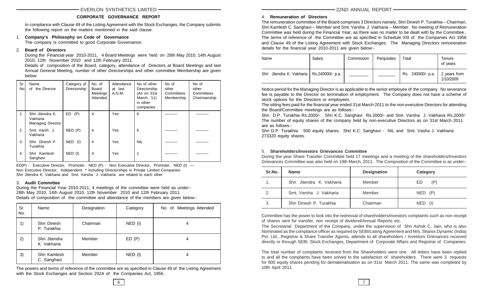# **CORPORATE GOVERNANCE REPORT**

In compliance with Clause 49 of the Listing Agreement with the Stock Exchanges, the Company submits the following report on the matters mentioned in the said clause.

# 1. **Company's Philosophy on Code of Governance**

The company is committed to good Corporate Governance.

# 2. **Board of Directors**

During the Financial year 2010-2011, 4 Board Meetings were held on 28th May 2010, 14th August 2010, 12th November 2010 and 12th February 2011.

Details of composition of the Board, category, attendance of Directors at Board Meetings and last Annual General Meeting, number of other Directorships and other committee Membership are given below:

| Sr.<br>Nol | Name<br>of the Director                           | Category of<br>Directorship | No. of<br>Board<br>Meetings<br>Attended | Attendance<br>at last<br>A.G.M. | No of other<br>Directorship<br>(As on 31st<br>March, '11)<br>in other<br>companies | No of<br>other<br>Committees<br>Membership | No of<br>other<br>Committees<br>Cheirmanship |
|------------|---------------------------------------------------|-----------------------------|-----------------------------------------|---------------------------------|------------------------------------------------------------------------------------|--------------------------------------------|----------------------------------------------|
| 1.         | Shri Jitendra K.<br>Vakharia<br>Managing Director | (P)<br>ED                   | 4                                       | <b>Yes</b>                      | 6                                                                                  |                                            |                                              |
| 2.         | Smt. Varsh J.<br>Vakharia                         | NED(P)                      | 4                                       | Yes                             | 6                                                                                  |                                            |                                              |
| 3.         | Shri Dinesh P.<br>Turakhia                        | NED (I)                     | 4                                       | Yes                             | <b>NIL</b>                                                                         |                                            |                                              |
| 4.         | Shri Kamlesh<br>Sanghavi                          | NED (I)                     | 4                                       | Yes                             | 1                                                                                  |                                            |                                              |

ED(P) - Executive Director, Promoter, NED (P) - Non Executive Director, Promoter, NED (I) — Non Executive Director, Independent \* Including Directorships in Private Limited Companies Shri Jitendra K. Vakharia and Smt. Varsha J. Vakharia are related to each other

#### 3. **Audit Committee**

During the Financial Year 2010-2011, 4 meetings of the committee were held as under:- 28th May 2010, 14th August 2010, 12th November 2010 and 12th February 2011. Details of composition of the committee and attendance of the members are given below:-

| Sr.<br>No. | Name                         | Designation | Category  | No of Meetings Attended |
|------------|------------------------------|-------------|-----------|-------------------------|
| 1)         | Shri Dinesh<br>P. Turakhia   | Chairman    | NED (I)   | 4                       |
| 2)         | Shri Jitendra<br>K. Vakharia | Member      | ED(P)     | 4                       |
| 3)         | Shri Kamlesh<br>C. Sanghavi  | Member      | $NED$ (I) | 4                       |

The powers and terms of reference of the committee are as specified in Clause 49 of the Listing Agreement with the Stock Exchanges and Section 292A of the Companies Act, 1956.

4. **Remuneration of Directors** The remuneration committee of the Board comprises 3 Directors namely, Shri Dinesh P. Turakhia – Chairman, Shri Kamlesh C. Sanghavi – Member and Smt. Varsha J. Vakharia – Member. No meeting of Remuneration Committee was held during the Financial Year, as there was no matter to be dealt with by the Committee.. The terms of reference of the Committee are as specified in Schedule XIII of the Companies Act 1956 and Clause 49 of the Listing Agreement with Stock Exchanges. The Managing Directors remuneration details for the financial year 2010-2011 are given below:-

| Name                                         | Salarv | Commission | Perquisites | Total             | Tenure<br>of years        |
|----------------------------------------------|--------|------------|-------------|-------------------|---------------------------|
| Shri Jitendra K. Vakharia   Rs.240000/- p.a. |        |            |             | Rs. 240000/- p.a. | 2 years from<br>1/10/2009 |

Notice period for the Managing Director is as applicable to the senior employee of the company. No severance fee is payable to the Director on termination of employment. The Company does not have a scheme of stock options for the Directors or employees.

The sitting fees paid for the financial year ended 31st March 2011 to the non-executive Directors for attending the Board/Committee meetings are as follows:-

Shri D.P. Turakhia Rs.2000/-. Shri K.C. Sanghavi Rs.2000/- and Smt. Varsha J. Vakharia Rs.2000/- The number of equity shares of the company held by non-executive Directors as on 31st March 2011 are as follows:-

Shri D.P. Turakhia 500 equity shares, Shri K.C. Sanghavi - NIL and Smt. Vasha J. Vakharia 273320 equity shares.

# 5. **Shareholders/Investors Grievances Committee**

During the year Share Transfer Committee held 17 meetings and a meeting of the shareholders/Investors Grievances Committee was also held on 19th March, 2011. The Composition of the Committee is as under:-

| Sr.No. | <b>Name</b>               | <b>Designation</b> | Category    |
|--------|---------------------------|--------------------|-------------|
| 1.     | Shri Jitendra K. Vakharia | Member             | ED<br>(P)   |
| 2.     | Smt. Varsha J. Vakharia   | Member             | $NED$ $(P)$ |
| 3.     | Shri Dinesh P. Turakhia   | Chairman           | NED (I)     |

Committee has the power to look into the redressal of shareholders/investors complaints such as non receipt of shares sent for transfer, non receipt of dividend/Annual Reports etc.

The Secretarial Department of the Company, under the supervision of Shri Ashok C. Jain, who is also Nominated as the compliance officer as required by SEBI/Listing Agreement and M/s. Sharex Dynamic (India) Pvt. Ltd., Registrar & Share Transfer Agents, attends to all shareholders / Investors Grievances received directly or through SEBI, Stock Exchanges, Department of Corporate Affairs and Registrar of Companies.

The total number of complaints received from the Shareholders were one. All letters have been replied to and all the complaints have been solved to the satisfaction of shareholders. There were 3 requests for 800 equity shares pending for dematerialisation as on 31st March 2011. The same was completed by 10th April 2011.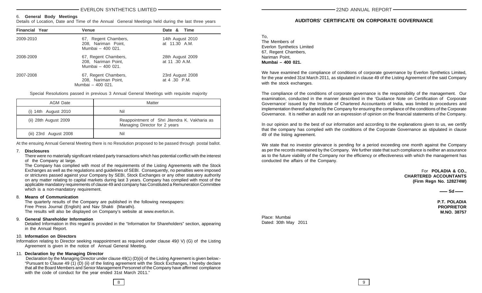#### 6. **General Body Meetings**

Details of Location, Date and Time of the Annual General Meetings held during the last three years

| <b>Financial Year</b> | Venue                                                            | Date & Time                        |
|-----------------------|------------------------------------------------------------------|------------------------------------|
| 2009-2010             | 67, Regent Chambers,<br>208, Nariman Point,<br>Mumbai - 400 021. | 14th August 2010<br>at 11.30 A.M.  |
| 2008-2009             | 67, Regent Chambers,<br>208, Nariman Point,<br>Mumbai - 400 021. | 28th August 2009<br>at 11 .30 A.M. |
| 2007-2008             | 67, Regent Chambers,<br>208, Nariman Point,<br>Mumbai - 400 021. | 23rd August 2008<br>at 4 .30 P.M.  |

Special Resolutions passed in previous 3 Annual General Meetings with requisite majority

| AGM Date                 | Matter                                                                         |
|--------------------------|--------------------------------------------------------------------------------|
| $(i)$ 14th August 2010   | Nil                                                                            |
| $(ii)$ 28th August 2009  | Reappointment of Shri Jitendra K. Vakharia as<br>Managing Director for 2 years |
| $(iii)$ 23rd August 2008 | Nil                                                                            |

At the ensuing Annual General Meeting there is no Resolution proposed to be passed through postal ballot.

#### 7. **Disclosures**

There were no materially significant related party transactions which has potential conflict with the interest of the Company at large.

The Company has complied with most of the requirements of the Listing Agreements with the Stock Exchanges as well as the regulations and guidelines of SEBI. Consequently, no penalties were imposed or strictures passed against your Company by SEBI, Stock Exchanges or any other statutory authority on any matter relating to capital markets during last 3 years. Company has complied with most of the applicable mandatory requirements of clause 49 and company has Constituted a Remuneration Committee which is a non-mandatory requirement.

#### 8. **Means of Communication**

The quarterly results of the Company are published in the following newspapers: Free Press Journal (English) and Nav Shakti (Marathi). The results will also be displayed on Company's website at www.everlon.in.

#### 9. **General Shareholder Information**

Detailed Information in this regard is provided in the "Information for Shareholders" section, appearing in the Annual Report.

### 10. **Information on Directors**

Information relating to Director seeking reappointment as required under clause 49(I V) (G) of the Listing Agreement is given in the notice of Annual General Meeting.

# 11. **Declaration by the Managing Director**

Declaration by the Managing Director under clause 49(1) (D)(ii) of the Listing Agreement is given below:-"Pursuant to Clause 49 (1) (D) (ii) of the listing agreement with the Stock Exchanges, I hereby declare that all the Board Members and Senior Management Personnel of the Company have affirmed compliance with the code of conduct for the year ended 31st March 2011."

# **AUDITORS' CERTIFICATE ON CORPORATE GOVERNANCE**

| To.                               |
|-----------------------------------|
| The Members of                    |
| <b>Everlon Synthetics Limited</b> |
| 67, Regent Chambers,              |
| Nariman Point,                    |
| Mumbai - 400 021.                 |
|                                   |

We have examined the compliance of conditions of corporate governance by Everlon Synthetics Limited, for the year ended 31st March 2011, as stipulated in clause 49 of the Listing Agreement of the said Company with the stock exchanges.

The compliance of the conditions of corporate governance is the responsibility of the management. Our examination, conducted in the manner described in the 'Guidance Note on Certification of Corporate Governance' issued by the Institute of Chartered Accountants of India, was limited to procedures and implementation thereof adopted by the Company for ensuring the compliance of the conditions of the Corporate Governance. It is neither an audit nor an expression of opinion on the financial statements of the Company.

In our opinion and to the best of our information and according to the explanations given to us, we certify that the company has complied with the conditions of the Corporate Governance as stipulated in clause 49 of the listing agreement.

We state that no investor grievance is pending for a period exceeding one month against the Company as per the records maintained by the Company. We further state that such compliance is neither an assurance as to the future viability of the Company nor the efficiency or effectiveness with which the management has conducted the affairs of the Company.

> For **POLADIA & CO., CHARTERED ACCOUNTANTS (Firm Regn No. 128274W)**

#### $\sim$  Sd $\sim$

**P.T. POLADIA PROPRIETOR M.NO. 38757**

Place: Mumbai Dated: 30th May 2011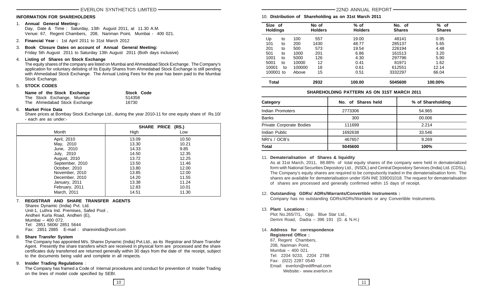#### **INFORMATION FOR SHAREHOLDERS**

#### 1. **Annual General Meeting:-**

Day, Date & Time : Saturday, 13th August 2011, at 11.30 A.M. Venue: 67, Regent Chambers, 208, Nariman Point, Mumbai - 400 021.

- 2. **Financial Year :** 1st April 2011 to 31st March 2012
- 3. **Book Closure Dates on account of Annual General Meeting:** Friday 5th August 2011 to Saturday 13th August 2011 (Both days inclusive)

#### 4. **Listing of Shares on Stock Exchange**

The equity shares of the company are listed on Mumbai and Ahmedabad Stock Exchange. The Company's application for voluntary delisting of its Equity Shares from Ahmedabad Stock Exchange is still pending with Ahmedabad Stock Exchange. The Annual Listing Fees for the year has been paid to the Mumbai Stock Exchange.

#### 5. **STOCK CODES**

| Name of the Stock Exchange   | <b>Stock Code</b> |
|------------------------------|-------------------|
| The Stock Exchange, Mumbai   | 514358            |
| The Ahmedabad Stock Exchange | 16730             |

#### 6. **Market Price Data**

Share prices at Bombay Stock Exchange Ltd., during the year 2010-11 for one equity share of Rs.10/ - each are as under:-

|                 | SHARE PRICE (RS.) |       |
|-----------------|-------------------|-------|
| Month           | High              | Low   |
| April, 2010     | 13.09             | 10.50 |
| May, 2010       | 13.30             | 10.21 |
| June, 2010      | 14.33             | 9.85  |
| July, 2010      | 14.50             | 12.35 |
| August, 2010    | 13.72             | 12.25 |
| September, 2010 | 13.50             | 11.46 |
| October, 2010   | 13.80             | 12.00 |
| November, 2010  | 13.85             | 12.00 |
| December, 2010  | 14.20             | 11.55 |
| January, 2011   | 13.38             | 11.24 |
| February, 2011  | 12.83             | 10.01 |
| March. 2011     | 14.51             | 11.30 |

# 7. **REGISTRAR AND SHARE TRANSFER AGENTS**

 Sharex Dynamic (India) Pvt. Ltd. Unit-1, Luthra Ind. Premises, Safed Pool , Andheri Kurla Road, Andheri (E), Mumbai – 400 072. Tel: 2851 5606/ 2851 5644 Fax: 2851 2885 E-mail : sharexindia@vsnl.com

#### 8. **Share Transfer System**

The Company has appointed M/s. Sharex Dynamic (India) Pvt.Ltd., as its Registrar and Share Transfer Agent. Presently the share transfers which are received in physical form are processed and the share certificates duly transferred are returned generally within 30 days from the date of the receipt, subject to the documents being valid and complete in all respects.

# 9. **Insider Trading Regulations** :

The Company has framed a Code of Internal procedures and conduct for prevention of Insider Trading on the lines of model code specified by SEBI.

10. **Distribution of Shareholding as on 31st March 2011**

| Size of<br><b>Holdings</b> |    |        | No of<br><b>Holders</b> | $%$ of<br><b>Holders</b> | No. of<br><b>Shares</b> | ℅<br>of<br><b>Shares</b> |
|----------------------------|----|--------|-------------------------|--------------------------|-------------------------|--------------------------|
| Up                         | to | 100    | 557                     | 19.00                    | 48141                   | 0.95                     |
| 101                        | to | 200    | 1430                    | 48.77                    | 285137                  | 5.65                     |
| 201                        | to | 500    | 573                     | 19.54                    | 226194                  | 4.48                     |
| 501                        | to | 1000   | 201                     | 6.86                     | 161513                  | 3.20                     |
| 1001                       | to | 5000   | 126                     | 4.30                     | 297796                  | 5.90                     |
| 5001                       | to | 10000  | 12                      | 0.41                     | 81971                   | 1.62                     |
| 10001                      | to | 100000 | 18                      | 0.61                     | 612551                  | 12.14                    |
| 100001 to                  |    | Above  | 15                      | 0.51                     | 3332297                 | 66.04                    |
| <b>Total</b>               |    |        | 2932                    | 100.00                   | 5045600                 | 100.00%                  |

### **SHAREHOLDING PATTERN AS ON 31ST MARCH 2011**

| Category                 | No. of Shares held | % of Shareholding |
|--------------------------|--------------------|-------------------|
| Indian Promoters         | 2773306            | 54.965            |
| <b>Banks</b>             | 300                | 00.006            |
| Private Corporate Bodies | 111699             | 2.214             |
| Indian Public            | 1692638            | 33.546            |
| NRI's / OCB's            | 467657             | 9.269             |
| Total                    | 5045600            | 100%              |

## 11. **Dematerialisation of Shares & liquidity**

As at 31st March, 2011, 88.88% of total equity shares of the company were held in dematerialized form with National Securities Depository Ltd., (NSDL) and Central Depository Services (India) Ltd. (CDSL). The Company's equity shares are required to be compulsorily traded in the dematerialisation form. The shares are available for dematerialisation under ISIN INE 339D01018. The request for dematerialisation of shares are processed and generally confirmed within 15 days of receipt.

#### 12. **Outstanding GDRs/ ADRs/Warrants/Convertible Instruments :**

Company has no outstanding GDRs/ADRs/Warrants or any Convertible Instruments.

#### 13. **Plant Locations :**

Plot No.265/7/1, Opp. Blue Star Ltd., Demni Road, Dadra – 396 191 (D. & N.H.)

14. **Address for correspondence**

**Registered Office :** 67, Regent Chambers, 208, Nariman Point, Mumbai – 400 021. Tel: 2204 9233, 2204 2788 Fax: (022) 2287 0540 Email: everlon@rediffmail.com Website:- www.everlon.in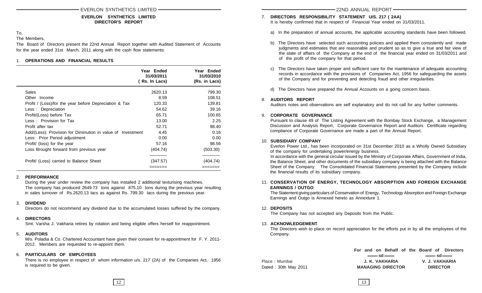# **EVERLON SYNTHETICS LIMITED DIRECTOR'S REPORT**

# To,

The Members,

The Board of Directors present the 22nd Annual Report together with Audited Statement of Accounts for the year ended 31st March, 2011 along with the cash flow statements:

# 1. **OPERATIONS AND FINANCIAL RESULTS**

|                                                             | Year Ended<br>31/03/2011<br>(Rs. In Lacs) | Year Ended<br>31/03/2010<br>(Rs. in Lacs) |
|-------------------------------------------------------------|-------------------------------------------|-------------------------------------------|
| Sales                                                       | 2620.13                                   | 799.30                                    |
| Other Income                                                | 8.59                                      | 108.51                                    |
| Profit / (Loss)/for the year before Depreciation & Tax      | 120.33                                    | 139.81                                    |
| Less: Depreciation                                          | 54.62                                     | 39.16                                     |
| Profit/(Loss) before Tax                                    | 65.71                                     | 100.65                                    |
| Less: Provision for Tax                                     | 13.00                                     | 2.25                                      |
| Profit after tax                                            | 52.71                                     | 98.40                                     |
| Add/(Less): Provision for Diminution in value of Investment | 4.45                                      | 0.16                                      |
| Less: Prior Period adjustment                               | 0.00                                      | 0.00                                      |
| Profit/ (loss) for the year                                 | 57.16                                     | 98.56                                     |
| Loss Brought forward from previous year                     | (404.74)                                  | (503.30)                                  |
| Profit/ (Loss) carried to Balance Sheet                     | (347.57)                                  | (404.74)                                  |
|                                                             |                                           |                                           |

# 2. **PERFORMANCE**

During the year under review the company has installed 2 additional texturising machines. The company has produced 2649.73 tons against 875.10 tons during the previous year resulting in sales turnover of Rs.2620.13 lacs as against Rs. 799.30 lacs during the previous year.

# 3. **DIVIDEND**

Directors do not recommend any dividend due to the accumulated losses suffered by the company.

# 4. **DIRECTORS**

Smt. Varsha J. Vakharia retires by rotation and being eligible offers herself for reappointment.

#### 5. **AUDITORS**

M/s. Poladia & Co. Chartered Accountant have given their consent for re-appointment for F. Y. 2011- 2012. Members are requested to re-appoint them.

# 6. **PARTICULARS OF EMPLOYEES**

There is no employee in respect of whom information u/s. 217 (2A) of the Companies Act, 1956 is required to be given.

- 7. **DIRECTORS RESPONSIBILITY STATEMENT U/S. 217 ( 2AA)** It is hereby confirmed that in respect of Financial Year ended on 31/03/2011.
	- a) In the preparation of annual accounts, the applicable accounting standards have been followed.
	- b) The Directors have selected such accounting policies and applied them consistently and made judgments and estimates that are reasonable and prudent so as to give a true and fair view of the state of affairs of the Company at the end of the financial year ended on 31/03/2011 and of the profit of the company for that period.
	- c) The Directors have taken proper and sufficient care for the maintenance of adequate accounting records in accordance with the provisions of Companies Act, 1956 for safeguarding the assets of the Company and for preventing and detecting fraud and other irregularities.
	- d) The Directors have prepared the Annual Accounts on a going concern basis.

# 8. **AUDITORS REPORT**

Auditors notes and observations are self explanatory and do not call for any further comments.

# 9. **CORPORATE GOVERNANCE**

Pursuant to clause 49 of The Listing Agreement with the Bombay Stock Exchange, a Management Discussion and Analysis Report, Corporate Governance Report and Auditors Certificate regarding compliance of Corporate Governance are made a part of the Annual Report.

# 10. **SUBSIDIARY COMPANY**

Everlon Power Ltd., has been incorporated on 31st December 2010 as a Wholly Owned Subsidiary of the company for undertaking power/energy business.

In accordance with the general circular issued by the Ministry of Corporate Affairs, Government of India, the Balance Sheet, and other documents of the subsidiary company is being attached with the Balance Sheet of the Company. The Consolidated Financial Statements presented by the Company include the financial results of its subsidiary company.

# 11. **CONSERVATION OF ENERGY, TECHNOLOGY ABSORPTION AND FOREIGN EXCHANGE EARNINGS / OUTGO**

The Statement giving particulars of Conservation of Energy, Technology Absorption and Foreign Exchange Earnings and Outgo is Annexed hereto as Annexture 1.

# 12. **DEPOSITS**

The Company has not accepted any Deposits from the Public.

# 13. **ACKNOWLEDGEMENT**

The Directors wish to place on record appreciation for the efforts put in by all the employees of the Company.

|                      | For and on Behalf of the Board of Directors                          |                                                                      |
|----------------------|----------------------------------------------------------------------|----------------------------------------------------------------------|
|                      | $\frac{1}{\sqrt{1-\frac{1}{2}}}$ sd $\frac{1}{\sqrt{1-\frac{1}{2}}}$ | $\frac{1}{\sqrt{1-\frac{1}{2}}}$ sd $\frac{1}{\sqrt{1-\frac{1}{2}}}$ |
| Place: Mumbai        | J. K. VAKHARIA                                                       | V. J. VAKHARIA                                                       |
| Dated: 30th May 2011 | <b>MANAGING DIRECTOR</b>                                             | <b>DIRECTOR</b>                                                      |

12 |  $\sqrt{ }$  | 13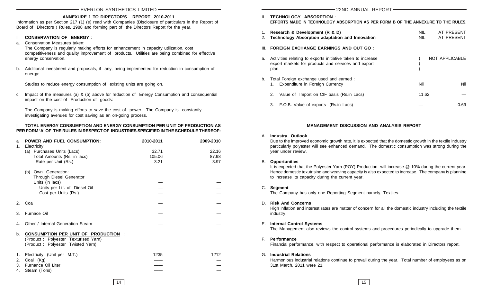## **ANNEXURE 1 TO DIRECTOR'S REPORT 2010-2011**

Information as per Section 217 (1) (e) read with Companies (Disclosure of particulars in the Report of Board of Directors ) Rules, 1988 and forming part of the Directors Report for the year.

#### I. **CONSERVATION OF ENERGY** :

- a. Conservation Measures taken: The Company is regularly making efforts for enhancement in capacity utilization, cost competitiveness and quality improvement of products. Utilities are being combined for effective energy conservation.
- b. Additional investment and proposals, if any, being implemented for reduction in consumption of energy:

Studies to reduce energy consumption of existing units are going on.

c. Impact of the measures (a) & (b) above for reduction of Energy Consumption and consequential impact on the cost of Production of goods:

The Company is making efforts to save the cost of power. The Company is constantly investigating avenues for cost saving as an on-going process.

# II **TOTAL ENERGY CONSUMPTION AND ENERGY CONSUMPTION PER UNIT OF PRODUCTION AS PER FORM 'A' OF THE RULES IN RESPECT OF INDUSTRIES SPECIFIED IN THE SCHEDULE THEREOF:**

| a<br>1.        | POWER AND FUEL CONSUMPTION:<br>Electricity                                                                             | 2010-2011 | 2009-2010 |
|----------------|------------------------------------------------------------------------------------------------------------------------|-----------|-----------|
|                | (a) Purchases Units (Lacs)                                                                                             | 32.71     | 22.16     |
|                | Total Amounts (Rs. in lacs)                                                                                            | 105.06    | 87.98     |
|                | Rate per Unit (Rs.)                                                                                                    | 3.21      | 3.97      |
|                | (b) Own Generation:                                                                                                    |           |           |
|                | Through Diesel Generator                                                                                               |           |           |
|                | Units (in lacs)                                                                                                        |           |           |
|                | Units per Ltr. of Diesel Oil                                                                                           |           |           |
|                | Cost per Units (Rs.)                                                                                                   |           |           |
| 2 <sub>1</sub> | Coa                                                                                                                    |           |           |
| 3.             | Furnace Oil                                                                                                            |           |           |
| 4.             | Other / Internal Generation Steam                                                                                      |           |           |
| b.             | <b>CONSUMPTION PER UNIT OF PRODUCTION</b><br>(Product: Polyester Texturised Yarn)<br>(Product: Polyester Twisted Yarn) |           |           |
| 1.             | Electricity (Unit per M.T.)                                                                                            | 1235      | 1212      |
| 2.             | Coal (Kg)                                                                                                              |           |           |
| 3.             | Furnance Oil Liter                                                                                                     |           |           |
| 4.             | Steam (Tons)                                                                                                           |           |           |

| Ш.       | TECHNOLOGY ABSORPTION:<br>EFFORTS MADE IN TECHNOLOGY ABSORPTION AS PER FORM B OF THE ANNEXURE TO THE RULES.                 |                    |                          |
|----------|-----------------------------------------------------------------------------------------------------------------------------|--------------------|--------------------------|
| 1.<br>2. | Research & Development (R & D)<br>Technology Absorption adaptation and Innovation                                           | <b>NIL</b><br>NIL. | AT PRESENT<br>AT PRESENT |
| III.     | <b>FOREIGN EXCHANGE EARNINGS AND OUT GO:</b>                                                                                |                    |                          |
| a.       | Activities relating to exports initiative taken to increase<br>export markets for products and services and export<br>plan. |                    | NOT APPLICABLE           |
| b.       | Total Foreign exchange used and earned :<br>Expenditure in Foreign Currency                                                 | Nil                | Nil                      |
|          | 2.<br>Value of Import on CIF basis (Rs.in Lacs)                                                                             | 11.62              |                          |
|          | F.O.B. Value of exports (Rs.in Lacs)<br>3.                                                                                  |                    | 0.69                     |

# **MANAGEMENT DISCUSSION AND ANALYSIS REPORT**

#### A. **Industry Outlook**

Due to the improved economic growth rate, it is expected that the domestic growth in the textile industry particularly polyester will see enhanced demand. The domestic consumption was strong during the year under review.

#### B. **Opportunities**

It is expected that the Polyester Yarn (POY) Production will increase @ 10% during the current year. Hence domestic texutrising and weaving capacity is also expected to increase. The company is planning to increase its capacity during the current year.

#### C. **Segment**

The Company has only one Reporting Segment namely, Textiles.

# D. **Risk And Concerns**

High inflation and interest rates are matter of concern for all the domestic industry including the textile industry.

E. **Internal Control Systems**

The Management also reviews the control systems and procedures periodically to upgrade them.

F. **Performance**

Financial performance, with respect to operational performance is elaborated in Directors report.

G. **Industrial Relations** Harmonious industrial relations continue to prevail during the year. Total number of employees as on 31st March, 2011 were 21.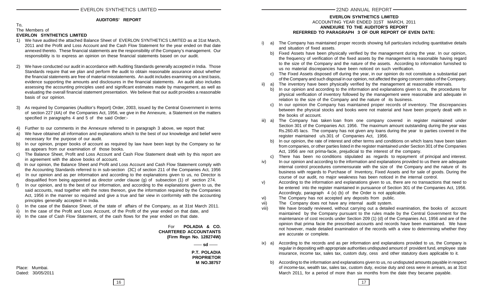# **AUDITORS' REPORT**

#### To, The Members of **EVERLON SYNTHETICS LIMITED**

- 1) We have audited the attached Balance Sheet of EVERLON SYNTHETICS LIMITED as at 31st March, 2011 and the Profit and Loss Account and the Cash Flow Statement for the year ended on that date annexed thereto. These financial statements are the responsibility of the Company's management. Our responsibility is to express an opinion on these financial statements based on our audit.
- 2) We have conducted our audit in accordance with Auditing Standards generally accepted in India. Those Standards require that we plan and perform the audit to obtain reasonable assurance about whether the financial statements are free of material misstatements. An audit includes examining on a test basis, evidence supporting the amounts and disclosures in the financial statements. An audit also includes assessing the accounting principles used and significant estimates made by management, as well as evaluating the overall financial statement presentation. We believe that our audit provides a reasonable basis of our opinion.
- 3) As required by Companies (Auditor's Report) Order, 2003, issued by the Central Government in terms of section 227 (4A) of the Companies Act, 1956, we give in the Annexure, a Statement on the matters specified in paragraphs 4 and 5 of the said Order:-
- 4) Further to our comments in the Annexure referred to in paragraph 3 above, we report that:
- a) We have obtained all information and explanations which to the best of our knowledge and belief were necessary for the purpose of our audit.
- b) In our opinion, proper books of account as required by law have been kept by the Company so far as appears from our examination of those books.
- c) The Balance Sheet, Profit and Loss Account and Cash Flow Statement dealt with by this report are in agreement with the above books of account.
- d) In our opinion, the Balance Sheet and Profit and Loss Account and Cash Flow Statement comply with the Accounting Standards referred to in sub-section (3C) of section 211 of the Companies Act, 1956
- e) In our opinion and as per information and according to the explanations given to us, no Director is disqualified from being appointed as director under clause (g) of subsection (1) of section 274.
- f) In our opinion, and to the best of our information, and according to the explanations given to us, the said accounts, read together with the notes thereon, give the information required by the Companies Act, 1956 in the manner so required and give a true and fair view in conformity with the accounting principles generally accepted in India.
- i) In the case of the Balance Sheet, of the state of affairs of the Company, as at 31st March 2011.
- ii) In the case of the Profit and Loss Account, of the Profit of the year ended on that date, and
- iii) In the case of Cash Flow Statement, of the cash flows for the year ended on that date.

 For **POLADIA & CO. CHARTERED ACCOUNTANTS (Firm Regn No. 128274W)**

> **P.T. POLADIA PROPRIETOR** — sd —

**M NO.38757**

- **ANNEXURE TO THE AUDITOR'S REPORT REFERRED TO PARAGRAPH 3 OF OUR REPORT OF EVEN DATE:** a) The Company has maintained proper records showing full particulars including quantitative details
	- and situation of fixed assets. b) Fixed Assets have been physically verified by the management during the year. In our opinion, the frequency of verification of the fixed assets by the management is reasonable having regard to the size of the Company and the nature of the assets. According to information furnished to
	- us no material discrepancies have been noticed on such verification. c) The Fixed Assets disposed off during the year, in our opinion do not constitute a substantial part of the Company and such disposal in our opinion, not affected the going concern status of the Company.
	- ii) a) The inventory have been physically verified by the management at reasonable intervals.
		- b) In our opinion and according to the information and explanations given to us, the procedures for physical verification of inventory followed by the management were reasonable and adequate in relation to the size of the Company and the nature of its business.
		- c) In our opinion the Company has maintained proper records of inventory. The discrepancies between the physical stocks and books were not material and have been properly dealt with in the books of account.
	- iii) a) The Company has taken loan from one company covered in register maintained under Section 301 of the Companies Act. 1956. The maximum amount outstanding during the year was Rs.260.45 lacs. The company has not given any loans during the year to parties covered in the register maintained u/s.301 of Companies Act, 1956.
		- b) In our opinion, the rate of interest and other terms and conditions on which loans have been taken from companies, or other parties listed in the register maintained under Section 301 of the Companies Act, 1956 are not prima-facie, prejudicial to the interest of the company.
		- c) There has been no conditions stipulated as regards to repayment of principal and interest.
	- iv) In our opinion and according to the information and explanations provided to us there are adequate internal control procedures commensurate with the size of the Company and the nature of its business with regards to Purchase of Inventory, Fixed Assets and for sale of goods. During the course of our audit, no major weakness has been noticed in the internal control.
	- v) According to the information and explanations given to us, there are no transactions that need to be entered into the register maintained in pursuance of Section 301 of the Companies Act, 1956. Accordingly, paragraph 4 (v) (b) of the Order is not applicable.
	- vi) The Company has not accepted any deposits from public.
	- vii) The Company does not have any internal audit system.
	- viii) We have broadly reviewed, without carrying out a detailed examination, the books of account maintained by the Company pursuant to the rules made by the Central Government for the maintenance of cost records under Section 209 (1) (d) of the Companies Act, 1956 and are of the opinion that prima facie the prescribed accounts and records have been maintained. We have not however, made detailed examination of the records with a view to determining whether they are accurate or complete.
	- ix) a) According to the records and as per information and explanations provided to us, the Company is regular in depositing with appropriate authorities undisputed amount of provident fund, employee state insurance, income tax, sales tax, custom duty, cess and other statutory dues applicable to it.
		- b) According to the information and explanations given to us, no undisputed amounts payable in respect of income-tax, wealth tax, sales tax, custom duty, excise duty and cess were in arrears, as at 31st March 2011, for a period of more than six months from the date they became payable.

ACCOUNTING YEAR ENDED 31ST MARCH, 2011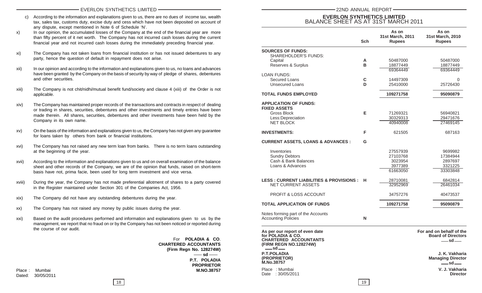- c) According to the information and explanations given to us, there are no dues of income tax, wealth tax, sales tax, customs duty, excise duty and cess which have not been deposited on account of any dispute, except mentioned in Note 6 of Schedule 'N'.
- x) In our opinion, the accumulated losses of the Company at the end of the financial year are more than fifty percent of it net worth. The Company has not incurred cash losses during the current financial year and not incurred cash losses during the immediately preceding financial year.
- xi) The Company has not taken loans from financial institution or has not issued debentures to any party, hence the question of default in repayment does not arise.
- xii) In our opinion and according to the information and explanations given to us, no loans and advances have been granted by the Company on the basis of security by way of pledge of shares, debentures and other securities.
- xiii) The Company is not chit/nidhi/mutual benefit fund/society and clause 4 (xiii) of the Order is not applicable.
- xiv) The Company has maintained proper records of the transactions and contracts in respect of dealing or trading in shares, securities, debentures and other investments and timely entries have been made therein. All shares, securities, debentures and other investments have been held by the Company in its own name.
- xv) On the basis of the information and explanations given to us, the Company has not given any guarantee for loans taken by others from bank or financial institutions.
- xvi) The Company has not raised any new term loan from banks. There is no term loans outstanding at the beginning of the year.
- xvii) According to the information and explanations given to us and on overall examination of the balance sheet and other records of the Company, we are of the opinion that funds, raised on short-term basis have not, prima facie, been used for long term investment and vice versa.
- xviii) During the year, the Company has not made preferential allotment of shares to a party covered in the Register maintained under Section 301 of the Companies Act, 1956.
- xix) The Company did not have any outstanding debentures during the year.
- xx) The Company has not raised any money by public issues during the year.
- xxi) Based on the audit procedures performed and information and explanations given to us by the management, we report that no fraud on or by the Company has not been noticed or reported during the course of our audit.

For **POLADIA & CO**. **CHARTERED ACCOUNTANTS (Firm Regn No. 128274W) P.T. POLADIA PROPRIETOR** Place : Mumbai **M.NO.38757**  $-$ **sd**  $-$ 

# Dated: 30/05/2011

# **EVERLON SYNTHETICS LIMITED** BALANCE SHEET AS AT 31ST MARCH 2011

|                                                                                                               |            | As on                             | As on                                                          |
|---------------------------------------------------------------------------------------------------------------|------------|-----------------------------------|----------------------------------------------------------------|
|                                                                                                               | <b>Sch</b> | 31st March, 2011<br><b>Rupees</b> | 31st March, 2010<br><b>Rupees</b>                              |
| <b>SOURCES OF FUNDS:</b>                                                                                      |            |                                   |                                                                |
| SHAREHOLDER'S FUNDS:                                                                                          |            |                                   |                                                                |
| Capital                                                                                                       | A          | 50487000                          | 50487000                                                       |
| Reserves & Surplus                                                                                            | B          | 18877449                          | 18877449                                                       |
|                                                                                                               |            | 69364449                          | 69364449                                                       |
| LOAN FUNDS:                                                                                                   |            |                                   |                                                                |
| Secured Loans                                                                                                 | С          | 14497309                          | 0                                                              |
| <b>Unsecured Loans</b>                                                                                        | D          | 25410000                          | 25726430                                                       |
| <b>TOTAL FUNDS EMPLOYED</b>                                                                                   |            | 109271758                         | 95090879                                                       |
| <b>APPLICATION OF FUNDS:</b>                                                                                  |            |                                   |                                                                |
| <b>FIXED ASSETS</b>                                                                                           |            |                                   |                                                                |
| <b>Gross Block</b>                                                                                            | Е          | 71269321                          | 56940821                                                       |
| Less:Depreciation                                                                                             |            | 30329313                          | 29471676                                                       |
| <b>NET BLOCK</b>                                                                                              |            | 40940008                          | 27469145                                                       |
| <b>INVESTMENTS:</b>                                                                                           | F          | 621505                            | 687163                                                         |
| <b>CURRENT ASSETS, LOANS &amp; ADVANCES :</b>                                                                 | G          |                                   |                                                                |
| Inventories                                                                                                   |            | 27557939                          | 9699982                                                        |
| <b>Sundry Debtors</b>                                                                                         |            | 27103768                          | 17384944                                                       |
| Cash & Bank Balances                                                                                          |            | 3023954                           | 2897697                                                        |
| Loans & Advances                                                                                              |            | 3977389                           | 3321225                                                        |
|                                                                                                               |            | 61663050                          | 33303848                                                       |
|                                                                                                               |            |                                   |                                                                |
| <b>LESS : CURRENT LIABILITIES &amp; PROVISIONS :</b>                                                          | н          | 28710081                          | 6842814                                                        |
| <b>NET CURRENT ASSETS</b>                                                                                     |            | 32952969                          | 26461034                                                       |
|                                                                                                               |            |                                   |                                                                |
| <b>PROFIT &amp; LOSS ACCOUNT</b>                                                                              |            | 34757276                          | 40473537                                                       |
| TOTAL APPLICATION OF FUNDS                                                                                    |            | 109271758                         | 95090879                                                       |
| Notes forming part of the Accounts                                                                            |            |                                   |                                                                |
| <b>Accounting Policies</b>                                                                                    | N          |                                   |                                                                |
| As per our report of even date<br>for POLADIA & CO.<br><b>CHARTERED ACCOUNTANTS</b><br>(FIRM REGN NO.128274W) |            |                                   | For and on behalf of the<br><b>Board of Directors</b><br>— sd— |
| — sd —                                                                                                        |            |                                   |                                                                |
| <b>P.T.POLADIA</b><br>(PROPRIETOR)<br>M.No.38757                                                              |            |                                   | J. K. Vakharia<br><b>Managing Director</b><br>— sd –           |
| Place : Mumbai                                                                                                |            |                                   | V. J. Vakharia                                                 |
| Date<br>:30/05/2011                                                                                           |            |                                   | <b>Director</b>                                                |

18 19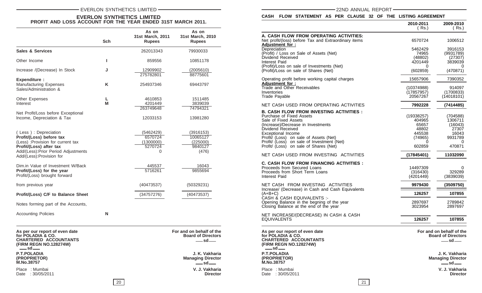# EVERLON SYNTHETICS LIMITED **CONTRACT CONTROL** CONTRACT THE CONTRACT CONTRACT CONTRACT THE CONTRACT CONTRACT THE CONTRACT OF CONTRACT CONTRACT CONTRACT THE CONTRACT OF CONTRACT OF CONTRACT OF CONTRACT CONTRACT OF CONTRACT O

# **EVERLON SYNTHETICS LIMITED PROFIT AND LOSS ACCOUNT FOR THE YEAR ENDED 31ST MARCH 2011.**

|                                                                                                                                                                                       | <b>Sch</b> | As on<br>31st March, 2011<br><b>Rupees</b>               | As on<br>31st March, 2010<br><b>Rupees</b>            |
|---------------------------------------------------------------------------------------------------------------------------------------------------------------------------------------|------------|----------------------------------------------------------|-------------------------------------------------------|
| <b>Sales &amp; Services</b>                                                                                                                                                           |            | 262013343                                                | 79930033                                              |
| Other Income                                                                                                                                                                          | L          | 859556                                                   | 10851178                                              |
| Increase /(Decrease) In Stock                                                                                                                                                         | J          | 12909902<br>275782801                                    | (2005610)<br>88775601                                 |
| <b>Expenditure:</b><br><b>Manufacturing Expenses</b><br>Sales/Administration &                                                                                                        | K          | 254937346                                                | 69443797                                              |
| Other Expenses<br>Interest                                                                                                                                                            | L<br>М     | 4610853<br>4201449<br>263749648                          | 1511485<br>3839039<br>74794321                        |
| Net Profit/Loss before Exceptional<br>Income, Depreciation & Tax                                                                                                                      |            | 12033153                                                 | 13981280                                              |
| (Less): Depreciation<br>Profit/(Loss) before tax<br>(Less) : Provision for current tax<br>Profit/(Loss) after tax<br>Add/(Less): Prior Period Adjustments<br>Add/(Less):Provision for |            | (5462429)<br>6570724<br>(1300000)<br>5270724<br>$\Omega$ | (3916153)<br>10065127<br>(225000)<br>9840127<br>(476) |
| Dim.in Value of Investment W/Back<br>Profit/(Loss) for the year<br>Profit/(Loss) brought forward                                                                                      |            | 445537<br>5716261                                        | 16043<br>9855694                                      |
| from previous year                                                                                                                                                                    |            | (40473537)                                               | (50329231)                                            |
| Profit/(Loss) C/F to Balance Sheet                                                                                                                                                    |            | (34757276)                                               | (40473537)                                            |
| Notes forming part of the Accounts,                                                                                                                                                   |            |                                                          |                                                       |
| <b>Accounting Policies</b>                                                                                                                                                            | N          |                                                          |                                                       |

| As per our report of even date<br>for POLADIA & CO.<br><b>CHARTERED ACCOUNTANTS</b><br>(FIRM REGN NO.128274W)<br>$-$ sd $-$ | For and on behalf of the<br><b>Board of Directors</b><br>$-$ sd $-$ |
|-----------------------------------------------------------------------------------------------------------------------------|---------------------------------------------------------------------|
| <b>P.T.POLADIA</b><br>(PROPRIETOR)<br><b>M.No.38757</b>                                                                     | J. K. Vakharia<br><b>Managing Director</b><br>$-$ sd $-$            |
| Place : Mumbai                                                                                                              | V. J. Vakharia                                                      |

Date : 30/05/2011

**sd**

**V. J. Vakharia<br>Director** 

# **CASH FLOW STATEMENT AS PER CLAUSE 32 OF THE LISTING AGREEMENT**

|                                                                                                               | 2010-2011<br>( Rs.) | 2009-2010<br>(Rs.)                                                  |
|---------------------------------------------------------------------------------------------------------------|---------------------|---------------------------------------------------------------------|
| A. CASH FLOW FROM OPERATING ACTIVITIES:                                                                       |                     |                                                                     |
| Net profit/(loss) before Tax and Extraordinary items<br><u>Adjustment_for_:</u>                               | 6570724             | 1006512                                                             |
| Depreciation                                                                                                  | 5462429             | 3916153                                                             |
| (Profit) / Loss on Sale of Assets (Net)                                                                       | 74965               | (9931789)                                                           |
| Dividend Received                                                                                             | (48802)             | (27307)                                                             |
| Interest Paid                                                                                                 | 4201449             | 3839039                                                             |
| (Profit)/Loss on sale of Investments (Net)<br>(Profit)/Loss on sale of Shares (Net)                           | 0<br>(602859)       | 0<br>(470871)                                                       |
| Operating profit before working capital charges                                                               | 15657906            | 7390352                                                             |
| <u>Adjustment_for_:</u><br>Trade and Other Receivables                                                        | (10374988)          | 914097                                                              |
| Inventories                                                                                                   | (17857957)          | (1700833)                                                           |
| Trade Payable                                                                                                 | 20567267            | (14018101)                                                          |
| NET CASH USED FROM OPERATING ACTIVITIES                                                                       | 7992228             | (7414485)                                                           |
| B. CASH FLOW FROM INVESTING ACTIVITIES :                                                                      |                     |                                                                     |
| Purchase of Fixed Assets                                                                                      | (19338257)          | (704588)                                                            |
| Sale of Fixed Assets<br>(Increase)/Decrease in Investments                                                    | 404965<br>65657     | 1306711<br>(16043)                                                  |
| Dividend Received                                                                                             | 48802               | 27307                                                               |
| <b>Exceptional Income</b>                                                                                     | 445538              | 16043                                                               |
| Profit/ (Loss) on sale of Assets (Net)                                                                        | (74965)             | 9931789                                                             |
| Profit/ (Loss) on sale of Investment (Net)                                                                    | O                   | 0                                                                   |
| Profit/ (Loss) on sale of Shares (Net)                                                                        | 602859              | 470871                                                              |
| NET CASH USED FROM INVESTING ACTIVITIES                                                                       | (17845401)          | 11032090                                                            |
| C. CASH FLOW FROM FINANCING ACTIVITIES :                                                                      |                     |                                                                     |
| Proceeds from Secured Loans                                                                                   | 14497309            | 0                                                                   |
| Proceeds from Short Term Loans                                                                                | (316430)            | 329289                                                              |
| Interest Paid                                                                                                 | (4201449)           | (3839039)                                                           |
| NET CASH FROM INVESTING ACTIVITIES<br>Increase/ (Decrease) in Cash and Cash Equivalents                       | 9979430             | (3509750)                                                           |
| (A+B+C)<br>CASH & CASH EQUIVALENTS :-                                                                         | 126257              | 107855                                                              |
| Opening Balance in the begning of the year                                                                    | 2897697             | 2789842                                                             |
| Closing Balance at the end of the year                                                                        | 3023954             | 2897697                                                             |
| NET INCREASE/(DECREASE) IN CASH & CASH<br><b>EQUIVALENTS</b>                                                  | 126257              | 107855                                                              |
|                                                                                                               |                     |                                                                     |
| As per our report of even date<br>for POLADIA & CO.<br><b>CHARTERED ACCOUNTANTS</b><br>(FIRM REGN NO.128274W) |                     | For and on behalf of the<br><b>Board of Directors</b><br>$-$ sd $-$ |
| —— sd——                                                                                                       |                     |                                                                     |
| <b>P.T.POLADIA</b><br>(PROPRIETOR)                                                                            |                     | J. K. Vakharia<br><b>Managing Director</b>                          |
| M.No.38757                                                                                                    |                     | $-$ sd $-$                                                          |
| Place: Mumbai<br>Date: 30/05/2011                                                                             |                     | V. J. Vakharia<br><b>Director</b>                                   |
|                                                                                                               |                     |                                                                     |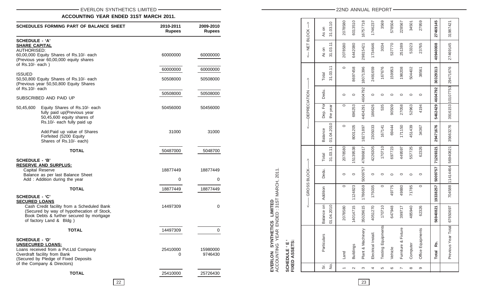# EVERLON SYNTHETICS LIMITED **CONTRACT CONTROL**

# **ACCOUNTING YEAR ENDED 31ST MARCH 2011.**

| SCHEDULES FORMING PART OF BALANCE SHEET                                                                                                                                                                                          | 2010-2011<br><b>Rupees</b> | 2009-2010<br><b>Rupees</b> |
|----------------------------------------------------------------------------------------------------------------------------------------------------------------------------------------------------------------------------------|----------------------------|----------------------------|
| <b>SCHEDULE - 'A'</b><br><b>SHARE CAPITAL</b>                                                                                                                                                                                    |                            |                            |
| AUTHORISED:<br>60,00,000 Equity Shares of Rs.10/- each<br>(Previous year 60,00,000 equity shares<br>of Rs.10/- each)                                                                                                             | 60000000                   | 60000000                   |
|                                                                                                                                                                                                                                  | 60000000                   | 60000000                   |
| ISSUED<br>50,50,800 Equity Shares of Rs.10/- each<br>(Previous year 50,50,800 Equity Shares<br>of Rs.10/- each                                                                                                                   | 50508000                   | 50508000                   |
| SUBSCRIBED AND PAID UP                                                                                                                                                                                                           | 50508000                   | 50508000                   |
| 50,45,600<br>Equity Shares of Rs.10/- each<br>fully paid up(Previous year<br>50,45,600 equity shares of<br>Rs.10/- each fully paid up                                                                                            | 50456000                   | 50456000                   |
| Add:Paid up value of Shares<br>Forfeited (5200 Equity<br>Shares of Rs.10/- each)                                                                                                                                                 | 31000                      | 31000                      |
| <b>TOTAL</b>                                                                                                                                                                                                                     | 50487000                   | 5048700                    |
| <b>SCHEDULE - 'B'</b><br><u>RESERVE AND SURPLUS:</u><br>Capital Reserve<br>Balance as per last Balance Sheet                                                                                                                     | 18877449                   | 18877449                   |
| Add: Addition during the year                                                                                                                                                                                                    | 0                          | 0                          |
| <b>TOTAL</b><br><b>SCHEDULE - 'C'</b><br><b>SECURED LOANS</b><br>Cash Credit facility from a Scheduled Bank<br>(Secured by way of hypothecation of Stock,<br>Book Debts & further secured by mortgage<br>of factory Land & Bldg) | 18877449<br>14497309       | 18877449<br>0              |
| <b>TOTAL</b>                                                                                                                                                                                                                     | 14497309                   | 0                          |
| SCHEDULE - 'D'<br><b>UNSECURED LOANS:</b><br>Loans received from a Pvt.Ltd Company<br>Overdraft facility from Bank<br>(Secured by Pledge of Fixed Deposits<br>of the Company & Directors)                                        | 25410000<br>0              | 15980000<br>9746430        |
| <b>TOTAL</b>                                                                                                                                                                                                                     | 25410000                   | 25726430                   |

| <-- NET BLOCK--> |                          | 31.03.10<br>As on<br>31.03.11 | 2078580<br>2078580 | 6013510<br>6442080 | 16757718             | 1746237<br>1734646  | 3569<br>3034           | 578504<br>537770 | 228567<br>251389    | 34501<br>53323 | 27959<br>23765    | 27469145             |
|------------------|--------------------------|-------------------------------|--------------------|--------------------|----------------------|---------------------|------------------------|------------------|---------------------|----------------|-------------------|----------------------|
|                  | As on<br>Total           | 31.03.11                      | $\circ$            | 8697458            | 29815421<br>18071396 | 2491659             | 167676                 | 159953           | 198208              | 504402         | 38561             | 40940008<br>30329313 |
| ↑                | Dedu.                    |                               | $\circ$            | $\circ$            | 4404291 4604792      | $\circ$             | $\circ$                | $\circ$          | $\circ$             | $\circ$        | $\circ$           |                      |
| -DEPRECIATION    | Dep. For<br>the year     |                               | $\circ$            | 696253             |                      | 186626              | 535                    | 90509            | 27058               | 52963          | 4194              | 5462429 4604792      |
|                  | 01.04.2010<br>Balance    |                               | $\circ$            | 8001205            | 18271897             | 2305033             | 167141                 | 69444            | 171150              | 451439         | 34367             | 29471676             |
| $\hat{1}$        | 31.03.11<br>Total        |                               | 2078580            | 5139538            | 47886817             | 4226305             | 170710                 | 697723           | 449597              | 557725         | 62326             | 71269321             |
| -GROSS BLOCK-    | Dedu.                    | $\circ$                       |                    | $\circ$            | 5009757              | $\circ$             | $\circ$                | $\circ$          | $\circ$             | $\circ$        | $\circ$           | 5009757              |
|                  | Addition                 | $\circ$                       |                    | 1124823            | 1786659              | 175035              | $\circ$                | 49775            | 49880               | 71785          | $\circ$           | 19338257             |
|                  | Balance on<br>01.04.2010 | 2078580                       | 14014715           |                    | 35029615             | 4051270             | 170710                 | 647948           | 399717              | 485940         | 62326             | 56940821             |
|                  | Particulars              | Land                          | <b>Buildings</b>   |                    | Plant & Machinery    | Electrical Install. | ents<br>Testing Equipm | Vehicle          | Furniture & Fixture | Computer       | Office Equipments | Rs.<br><b>Total</b>  |
|                  | si.<br>ġ                 |                               | $\sim$             |                    | S                    | 4                   | LO                     | $\circ$          | $\overline{a}$      | $\infty$       | တ                 |                      |

22 |  $\vert$  23

**EVERLON SYNTHETICS LIMITED**

ACCOUNTING YEAR ENDED : 31ST MARCH, 2011.

EVERLON SYNTHETICS LIMITED<br>ACCOUNTING YEAR ENDED: 31ST MARCH, 2011.

**SCHEDULE ' E ' FIXED ASSETS:**

SCHEDULE ' E '<br>FIXED ASSETS: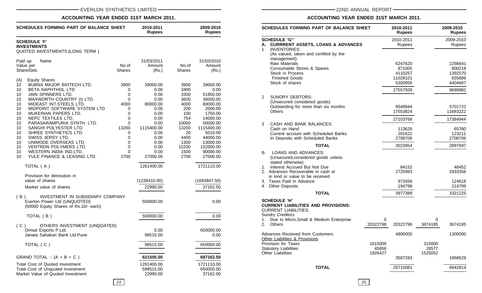# **ACCOUNTING YEAR ENDED 31ST MARCH 2011.**

| <b>SCHEDULES FORMING PART OF BALANCE SHEET</b>                                                                                                                                                                                                                                                                                                                                                                                                                                                                                                                  | 2010-2011<br><b>Rupees</b>                                                                |                                                                                                                                                | 2009-2010<br><b>Rupees</b>                                                                                                 |                                                                                                                                                                                          |
|-----------------------------------------------------------------------------------------------------------------------------------------------------------------------------------------------------------------------------------------------------------------------------------------------------------------------------------------------------------------------------------------------------------------------------------------------------------------------------------------------------------------------------------------------------------------|-------------------------------------------------------------------------------------------|------------------------------------------------------------------------------------------------------------------------------------------------|----------------------------------------------------------------------------------------------------------------------------|------------------------------------------------------------------------------------------------------------------------------------------------------------------------------------------|
| <b>SCHEDULE 'F'</b><br><b>INVESTMENTS</b><br>QUOTED INVESTMENTS: (LONG TERM)                                                                                                                                                                                                                                                                                                                                                                                                                                                                                    |                                                                                           |                                                                                                                                                |                                                                                                                            |                                                                                                                                                                                          |
| Paid up<br>Name<br>Value per<br>Share/Deb.                                                                                                                                                                                                                                                                                                                                                                                                                                                                                                                      | No.of<br>Shares                                                                           | 31/03/2011<br>Amount<br>(Rs.)                                                                                                                  | No.of<br><b>Shares</b>                                                                                                     | 31/03/2010<br>Amount<br>(Rs.)                                                                                                                                                            |
| <b>Equity Shares</b><br>(A)<br>BUBNA MAJOR BIOTECH LTD.<br>10<br>BETA NAPHTHOL LTD<br>10<br>JAIN SPINNERS LTD.<br>10<br>MAXWORTH COUNTRY (I) LTD.<br>10<br>MIDEAST INT. STEELS LTD.<br>10<br>MIDPOINT SOFTWARE SYSTEM LTD<br>10<br>MUKERIAN PAPERS LTD.<br>10<br>NEPC TEXTILES LTD.<br>10<br>PARASARAMPURIA SYNTH. LTD.<br>10<br>SANGHI POLYESTER LTD.<br>10<br>10<br>SHREE SYNTHETICS LTD.<br>SWISS JERSY LTD.<br>10<br>UNIMODE OVERSEAS LTD.<br>10<br><b>VENTRON POLYMERS LTD.</b><br>10<br>10<br>WESTERN INDIA IND.LTD.<br>10<br>YULE FINANCE & LEASING LTD. | 3900<br>0<br>0<br>0<br>4000<br>0<br>0<br>0<br>0<br>13200<br>0<br>0<br>0<br>0<br>0<br>2700 | 39000.00<br>0.00<br>0.00<br>0.00<br>80000.00<br>0.00<br>0.00<br>0.00<br>0.00<br>1115400.00<br>0.00<br>0.00<br>0.00<br>0.00<br>0.00<br>27000.00 | 3900<br>3400<br>3300<br>3600<br>4000<br>200<br>100<br>754<br>10000<br>13200<br>20<br>4400<br>1300<br>15200<br>1500<br>2700 | 39000.00<br>0.00<br>51950.00<br>36000.00<br>80000.00<br>2000.00<br>1750.00<br>14000.00<br>50000.00<br>1115400.00<br>5010.00<br>44000.00<br>13000.00<br>152000.00<br>90000.00<br>27000.00 |
| TOTAL (A)                                                                                                                                                                                                                                                                                                                                                                                                                                                                                                                                                       |                                                                                           | 1261400.00                                                                                                                                     |                                                                                                                            | 1721110.00                                                                                                                                                                               |
| Provision for diminution in<br>value of shares<br>Market value of shares<br>INVESTMENT IN SUBSIDIARY COMPANY<br>(B)                                                                                                                                                                                                                                                                                                                                                                                                                                             |                                                                                           | (1238410.00)<br>22990.00                                                                                                                       |                                                                                                                            | (1683947.50)<br>37162.50                                                                                                                                                                 |
| Everlon Power Ltd (UNQUOTED)<br>(50000 Equity Shares of Rs.10/- each)<br>TOTAL (B)                                                                                                                                                                                                                                                                                                                                                                                                                                                                              |                                                                                           | 500000.00<br>500000.00                                                                                                                         |                                                                                                                            | 0.00<br>0.00                                                                                                                                                                             |
| OTHERS INVESTMENT (UNQOATED)<br>(C)<br>Omsai Exports P.Ltd.<br>Janata Sahakari Bank Ltd.Pune                                                                                                                                                                                                                                                                                                                                                                                                                                                                    |                                                                                           | 0.00<br>98515.00                                                                                                                               |                                                                                                                            | 650000.00<br>0.00                                                                                                                                                                        |
| TOTAL (C)                                                                                                                                                                                                                                                                                                                                                                                                                                                                                                                                                       |                                                                                           | 98515.00                                                                                                                                       |                                                                                                                            | 650000.00                                                                                                                                                                                |
| GRAND TOTAL :- $(A + B + C)$                                                                                                                                                                                                                                                                                                                                                                                                                                                                                                                                    |                                                                                           | 621505.00                                                                                                                                      |                                                                                                                            | 687162.50                                                                                                                                                                                |
| Total Cost of Quoted Investment<br>Total Cost of Unquoted Investment<br>Market Value of Quoted Investment                                                                                                                                                                                                                                                                                                                                                                                                                                                       |                                                                                           | 1261400.00<br>598515.00<br>22990.00                                                                                                            |                                                                                                                            | 1721110.00<br>650000.00<br>37162.00                                                                                                                                                      |

# **ACCOUNTING YEAR ENDED 31ST MARCH 2011.**

| SCHEDULES FORMING PART OF BALANCE SHEET |                                                                                                                             |          | 2010-2011<br>2009-2010<br><b>Rupees</b><br><b>Rupees</b> |         |                     |
|-----------------------------------------|-----------------------------------------------------------------------------------------------------------------------------|----------|----------------------------------------------------------|---------|---------------------|
| А.<br>1                                 | <b>SCHEDULE 'G"</b><br><b>CURRRENT ASSETS, LOANS &amp; ADVANCES</b><br><b>INVENTORIES:</b>                                  |          | 2010-2011<br>Rupees                                      |         | 2009-2010<br>Rupees |
|                                         | (As valued, taken and certified by the                                                                                      |          |                                                          |         |                     |
|                                         | management)<br>Raw Materials                                                                                                |          | 6247620                                                  |         | 2266641             |
|                                         | Consumable Stores & Spares                                                                                                  |          | 871005                                                   |         | 800218              |
|                                         | Stock in Process                                                                                                            |          | 4110257                                                  |         | 1392570             |
|                                         | <b>Finished Goods</b>                                                                                                       |          | 11028101                                                 |         | 835886              |
|                                         | Stock of shares                                                                                                             |          | 5300956                                                  |         | 4404667             |
|                                         |                                                                                                                             |          | 27557939                                                 |         | 9699982             |
| $\overline{c}$                          | <b>SUNDRY DEBTORS:</b>                                                                                                      |          |                                                          |         |                     |
|                                         | (Unsecured considered goods)                                                                                                |          |                                                          |         |                     |
|                                         | Outstanding for more than six months<br><b>Others</b>                                                                       |          | 9549944                                                  |         | 5701722             |
|                                         |                                                                                                                             |          | 17553824                                                 |         | 11683222            |
| 3                                       | CASH AND BANK BALANCES:                                                                                                     |          | 27103768                                                 |         | 17384944            |
|                                         | Cash on Hand                                                                                                                |          | 113626                                                   |         | 65780               |
|                                         | Current account with Scheduled Banks                                                                                        |          | 201622                                                   |         | 123211              |
|                                         | In Deposits with Scheduled Banks                                                                                            |          | 2708706                                                  |         | 2708706             |
|                                         | <b>TOTAL</b>                                                                                                                |          | 3023954                                                  |         | 2897697             |
| В.                                      | LOANS AND ADVANCES:<br>(Unsecured, considered goods unless<br>stated otherwise)                                             |          |                                                          |         |                     |
|                                         | 1. Interest Accrued But Not Due                                                                                             |          | 84152                                                    |         | 48452               |
|                                         | 2. Advances Recoverable in cash or                                                                                          |          | 2725983                                                  |         | 2933356             |
|                                         | in kind or value to be received                                                                                             |          |                                                          |         |                     |
|                                         | 3. Taxes Paid in Advance                                                                                                    |          | 972456                                                   |         | 124618              |
|                                         | 4. Other Deposits                                                                                                           |          | 194798                                                   |         | 214799              |
|                                         | <b>TOTAL</b>                                                                                                                |          | 3977389                                                  |         | 3321225             |
|                                         | <b>SCHEDULE 'H'</b><br><b>CURRENT LIABILITIES AND PROVISIONS:</b><br><b>CURRENT LIABILITIES:</b><br><b>Sundry Creditors</b> |          |                                                          |         |                     |
| 1.                                      | Due to Micro, Small & Medium Enterprise.                                                                                    | 0        |                                                          | 0       |                     |
| 2.                                      | <b>Others</b>                                                                                                               | 20322798 | 20322798                                                 | 3674185 | 3674185             |
|                                         | <b>Advances Received from Customers</b><br>Other Liabilities & Provisions                                                   |          | 4800000                                                  |         | 1300000             |
|                                         | <b>Provision for Taxes</b>                                                                                                  | 1615000  |                                                          | 315000  |                     |
|                                         | <b>Statutory Liabilities</b>                                                                                                | 45856    |                                                          | 28577   |                     |
|                                         | Other Liabilities                                                                                                           | 1926427  |                                                          | 1525052 |                     |
|                                         |                                                                                                                             |          | 3587283                                                  |         | 1868629             |
|                                         | <b>TOTAL</b>                                                                                                                |          | 28710081                                                 |         | 6842814             |
|                                         |                                                                                                                             |          |                                                          |         |                     |

24 | 25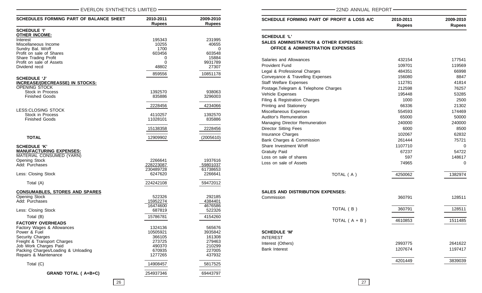| EVERLON SYNTHETICS LIMITED                             |                            |                            | 22ND ANNUAL REPORT                                |  |  |
|--------------------------------------------------------|----------------------------|----------------------------|---------------------------------------------------|--|--|
| <b>SCHEDULES FORMING PART OF BALANCE SHEET</b>         | 2010-2011<br><b>Rupees</b> | 2009-2010<br><b>Rupees</b> | SCHEDULE FORMING PART OF PROFIT & LOSS A/C        |  |  |
| <b>SCHEDULE 'I'</b>                                    |                            |                            |                                                   |  |  |
| <b>OTHER INCOME:</b>                                   |                            |                            | <b>SCHEDULE 'L'</b>                               |  |  |
| Interest                                               | 195343                     | 231995                     | <b>SALES ADMINISTRATION &amp; OTHER EXPENSES:</b> |  |  |
| Miscellaneous Income                                   | 10255                      | 40655                      |                                                   |  |  |
| Sundry Bal. W/off                                      | 1700                       | $\Omega$                   | <b>OFFICE &amp; ADMINISTRATION EXPENSES</b>       |  |  |
| Profit on sale of Shares                               | 603456                     | 603548                     |                                                   |  |  |
| Share Trading Profit                                   | 0<br>$\Omega$              | 15884                      | Salaries and Allowances                           |  |  |
| Profit on sale of Assets<br>Dividend recd              | 48802                      | 9931789<br>27307           | <b>Provident Fund</b>                             |  |  |
|                                                        |                            |                            | Legal & Professional Charges                      |  |  |
|                                                        | 859556                     | 10851178                   |                                                   |  |  |
| <b>SCHEDULE 'J'</b>                                    |                            |                            | Conveyance & Travelling Expenses                  |  |  |
| INCREASE/(DECREASSE) IN STOCKS:                        |                            |                            | <b>Staff Welfare Expenses</b>                     |  |  |
| OPENING STOCK                                          |                            |                            | Postage, Telegram & Telephone Charges             |  |  |
| Stock in Process                                       | 1392570                    | 938063                     | Vehicle Expenses                                  |  |  |
| <b>Finished Goods</b>                                  | 835886                     | 3296003                    | Filing & Registration Charges                     |  |  |
|                                                        |                            |                            |                                                   |  |  |
|                                                        | 2228456                    | 4234066                    | Printing and Stationery                           |  |  |
| LESS:CLOSING STOCK<br>Stock in Process                 | 4110257                    | 1392570                    | Miscellaneous Expenses                            |  |  |
| <b>Finished Goods</b>                                  | 11028101                   | 835886                     | Auditor's Remuneration                            |  |  |
|                                                        |                            |                            | Managing Director Remuneration                    |  |  |
|                                                        | 15138358                   | 2228456                    | <b>Director Sitting Fees</b>                      |  |  |
|                                                        |                            |                            | Insurance Charges                                 |  |  |
| <b>TOTAL</b>                                           | 12909902                   | (2005610)                  |                                                   |  |  |
|                                                        |                            |                            | Bank Charges & Commission                         |  |  |
| <b>SCHEDULE 'K'</b>                                    |                            |                            | Share Investment W/off                            |  |  |
| <b>MANUFACTURING EXPENSES:</b>                         |                            |                            | <b>Gratuity Paid</b>                              |  |  |
| MATERIAL CONSUMED (YARN)                               |                            |                            | Loss on sale of shares                            |  |  |
| <b>Opening Stock</b>                                   | 2266641                    | 1937616                    | Loss on sale of Assets                            |  |  |
| Add: Purchases                                         | 228223087                  | 59801037                   |                                                   |  |  |
|                                                        | 230489728                  | 61738653                   |                                                   |  |  |
| Less: Closing Stock                                    | 6247620                    | 2266641                    | TOTAL (A)                                         |  |  |
| Total (A)                                              | 224242108                  | 59472012                   |                                                   |  |  |
| <b>CONSUMABLES, STORES AND SPARES</b>                  |                            |                            | <b>SALES AND DISTRIBUTION EXPENSES:</b>           |  |  |
| <b>Opening Stock</b>                                   | 522326                     | 292185                     |                                                   |  |  |
| Add: Purchases                                         | 15952274                   | 4384401                    | Commission                                        |  |  |
|                                                        | 16474600                   | 4676586                    |                                                   |  |  |
| Less: Closing Stock                                    | 687819                     | 522326                     | TOTAL (B)                                         |  |  |
| Total (B)                                              | 15786781                   | 4154260                    |                                                   |  |  |
|                                                        |                            |                            | TOTAL $(A + B)$                                   |  |  |
| <b>FACTORY OVERHEADS</b><br>Factory Wages & Allowances | 1324136                    | 565676                     |                                                   |  |  |
| Power & Fuel                                           | 10505921                   | 3935842                    | <b>SCHEDULE 'M'</b>                               |  |  |
| Security Charges                                       | 366105                     | 161308                     |                                                   |  |  |
| Freight & Transport Charges                            | 273725                     | 279463                     | <b>INTEREST</b>                                   |  |  |
| Job Work Charges Paid                                  | 490370                     | 210299                     | Interest (Others)                                 |  |  |
| Packing Charges/Loading & Unloading                    | 670935                     | 227005                     | <b>Bank Interest</b>                              |  |  |
| Repairs & Maintenance                                  | 1277265                    | 437932                     |                                                   |  |  |
|                                                        |                            |                            |                                                   |  |  |
| Total (C)                                              | 14908457                   | 5817525                    |                                                   |  |  |
| <b>GRAND TOTAL (A+B+C)</b>                             | 254937346                  | 69443797                   |                                                   |  |  |

**SCHEDULE FORMING PART OF PROFIT & LOSS A/C 2010-2011 2009-2010 Rupees Rupees SCHEDULE 'L' SALES ADMINISTRATION & OTHER EXPENSES: OFFICE & ADMINISTRATION EXPENSES** Salaries and Allowances and  $\overline{432154}$  177541 Provident Fund 109701 119569 Legal & Professional Charges **1868** and 2008 184351 **66998 66998** Conveyance & Travelling Expenses 156080 156080 Staff Welfare Expenses and the state of the 112781 41814 Postage,Telegram & Telephone Charges 212598 212598 76257 Vehicle Expenses 33285 Filing & Registration Charges 1000 2500 2500 Printing and Stationery **21302 66336** 21302 Miscellaneous Expenses 654593 174469 Auditor's Remuneration and the control of the control of the 65000 65000 50000 50000 50000 Managing Director Remuneration 240000 240000 240000 Director Sitting Fees 6000 8500 Insurance Charges **102067** 62832 Bank Charges & Commission 261444 261444 75721 Share Investment W/off 1107710 0 Gratuity Paid **67237** 54722 Loss on sale of shares **148617 148617** Loss on sale of Assets **74965** 0 TOTAL (A) 4250062 1382974 **SALES AND DISTRIBUTION EXPENSES:** Commission 360791 128511 TOTAL ( B ) 360791 128511 TOTAL (A + B) 4610853 1511485 **SCHEDULE 'M'** INTEREST Interest (Others) 2993775 2641622 Bank Interest 2007674 1197417 4201449 3839039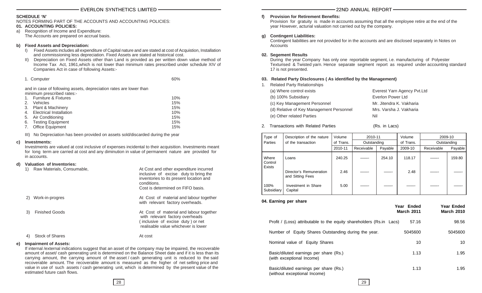# **SCHEDULE 'N'**

NOTES FORMING PART OF THE ACCOUNTS AND ACCOUNTING POLICIES:

# **01. ACCOUNTING POLICIES:**

a) Recognition of Income and Expenditure: The Accounts are prepared on accrual basis.

# **b) Fixed Assets and Depreciation:**

- I) Fixed Assets includes all expenditure of Capital nature and are stated at cost of Acquistion, Installation and commissioning less depreciation. Fixed Assets are stated at historical cost.
- II) Depreciation on Fixed Assets other than Land is provided as per written down value method of Income Tax Act, 1961,which is not lower than minimum rates prescribed under schedule XIV of Companies Act in case of following Assets:-

| 1. Computer | 60% |
|-------------|-----|
|-------------|-----|

and in case of following assets, depreciation rates are lower than minimum prescribed rates:-

|    | <b>Furniture &amp; Fixtures</b> | 10% |
|----|---------------------------------|-----|
| 2. | <b>Vehicles</b>                 | 15% |
| 3. | Plant & Machinery               | 15% |
|    | Electrical Installation         | 10% |
|    | 5. Air Conditioning             | 15% |
| 6. | <b>Testing Equipment</b>        | 15% |
| 7. | <b>Office Equipment</b>         | 15% |

III) No Depreciation has been provided on assets sold/discarded during the year

#### **c) Investments:**

Investments are valued at cost inclusive of expenses incidental to their acquisition. Investments meant for long term are carried at cost and any diminution in value of permanent nature are provided for in accounts.

At Cost and other expenditure incurred

# **d) Valuation of Inventories:**

| <b>NAME INCORDO CONTRADIO,</b> | we obot and other experience incentou<br>inclusive of excise duty to bring the<br>inventories to its present location and<br>conditions.<br>Cost is determined on FIFO basis. |
|--------------------------------|-------------------------------------------------------------------------------------------------------------------------------------------------------------------------------|
| Work-in-progres<br>2)          | At Cost of material and labour together<br>with relevant factory overheads.                                                                                                   |
| <b>Finished Goods</b><br>3)    | At Cost of material and labour together<br>with relevant factory overheads<br>(inclusive of excise duty) or net<br>realisable value whichever is lower                        |
| <b>Stock of Shares</b><br>4)   | At cost                                                                                                                                                                       |

#### **e) Impairment of Assets:**

If internal /external indications suggest that an asset of the company may be impaired, the recoverable amount of asset/ cash generating unit is determined on the Balance Sheet date and if it is less than its carrying amount, the carrying amount of the asset / cash generating unit is reduced to the said recoverable amount. The recoverable amount is measured as the higher of net selling price and value in use of such assets / cash generating unit, which is determined by the present value of the estimated future cash flows.

### **f) Provision for Retirement Benefits:**

Provision for gratuity is made in accounts assuming that all the employee retire at the end of the year However, acturial valuation not carried out by the company.

# **g) Contingent Liabilities:**

Contingent liabilities are not provided for in the accounts and are disclosed separately in Notes on **Accounts** 

# **02. Segement Results**

During the year Company has only one reportable segment, i.e. manufacturing of Polyester Texturised & Twisted yarn. Hence separate segment report as required under accounting standard 17 is not presented.

# **03. Related Party Disclosures ( As identified by the Management)**

1. Related Party Relationships

| (a) Where control exists                 | Everest Yarn Agency Pvt.Ltd |
|------------------------------------------|-----------------------------|
| (b) 100% Subsidiary                      | Everlon Power Ltd           |
| (c) Key Management Personnel             | Mr. Jitendra K. Vakharia    |
| (d) Relative of Key Management Personnel | Mrs. Varsha J. Vakharia     |
| (e) Other related Parties                | Nil                         |

2. Transactions with Related Parties (Rs. in Lacs)

| Type of            | Description of the nature                   | Volume    | 2010-11     |         | Volume    | 2009-10     |         |
|--------------------|---------------------------------------------|-----------|-------------|---------|-----------|-------------|---------|
| Parties            | of the transaction                          | of Trans. | Outstanding |         | of Trans. | Outstanding |         |
|                    |                                             | 2010-11   | Receivable  | Payable | 2009-10   | Receivable  | Payable |
| Where<br>Control   | Loans                                       | 240.25    |             | 254.10  | 118.17    |             | 159.80  |
| Exists             | Director's Remuneration<br>and Sitting Fees | 2.46      |             |         | 2.48      |             |         |
| 100%<br>Subsidiary | Investment in Share<br>Capital              | 5.00      |             |         |           |             |         |

# **04. Earning per share**

|                                                                        | Year Ended<br><b>March 2011</b> | Year Ended<br><b>March 2010</b> |
|------------------------------------------------------------------------|---------------------------------|---------------------------------|
| Profit / (Loss) attributable to the equity shareholders (Rs.in Lacs)   | 57.16                           | 98.56                           |
| Number of Equity Shares Outstanding during the year.                   | 5045600                         | 5045600                         |
| Nominal value of Equity Shares                                         | 10                              | 10                              |
| Basic/diluted earnings per share (Rs.)<br>(with exceptional Income)    | 1.13                            | 1.95                            |
| Basic/diluted earnings per share (Rs.)<br>(without exceptional Income) | 1.13                            | 1.95                            |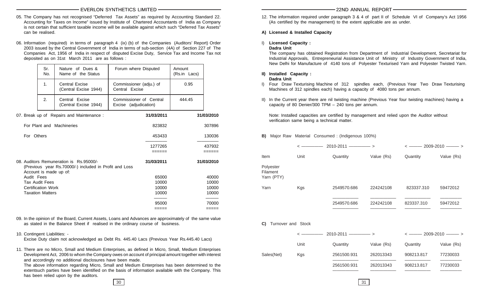- 05. The Company has not recognised "Deferred Tax Assets" as required by Accounting Standard 22. Accounting for Taxes on Income" issued by Institute of Chartered Accountants of India as Company is not certain that sufficient taxable income will be available against which such "Deferred Tax Assets" can be realised.
- 06. Information (required) in terms of paragraph 4 (ix) (b) of the Companies (Auditors' Report) Order 2003 issued by the Central Government of India in terms of sub-section (4A) of Section 227 of The Companies Act, 1956 of India in respect of disputed Excise Duty, Service Tax and Income Tax not deposited as on 31st March 2011 are as follows :

|            | Sr.<br>No.                | Nature of Dues &<br>Name of the Status                                                            | Forum where Disputed                             | Amount<br>(Rs.in Lacs) |                 |
|------------|---------------------------|---------------------------------------------------------------------------------------------------|--------------------------------------------------|------------------------|-----------------|
|            | 1.                        | Central Excise<br>(Central Excise 1944)                                                           | Commissioner (adju.) of<br>Central Excise        | 0.95                   |                 |
|            | 2.                        | Central Excise<br>(Central Excise 1944)                                                           | Commissioner of Central<br>Excise (adjudication) | 444.45                 |                 |
|            |                           | 07. Break up of Repairs and Maintenance:                                                          | 31/03/2011                                       |                        | 31/03/2010      |
|            |                           | For Plant and Machineries                                                                         | 823832                                           |                        | 307896          |
| For Others |                           |                                                                                                   | 453433                                           |                        | 130036          |
|            |                           |                                                                                                   | 1277265<br>======                                |                        | 437932<br>===== |
|            |                           | 08. Auditors Remuneration is Rs.95000/-<br>(Previous year Rs.70000/-) included in Profit and Loss | 31/03/2011                                       |                        | 31/03/2010      |
| Audit Fees | Account is made up of:    |                                                                                                   | 65000                                            |                        | 40000           |
|            | <b>Tax Audit Fees</b>     |                                                                                                   | 10000                                            |                        | 10000           |
|            | <b>Certification Work</b> |                                                                                                   | 10000                                            |                        | 10000           |
|            | <b>Taxation Matters</b>   |                                                                                                   | 10000                                            |                        | 10000           |
|            |                           |                                                                                                   | 95000                                            |                        | 70000           |
|            |                           |                                                                                                   | =====                                            |                        | =====           |

- 09. In the opinion of the Board, Current Assets, Loans and Advances are approximately of the same value as stated in the Balance Sheet if realised in the ordinary course of business.
- 10. Contingent Liabilities: -

Excise Duty claim not acknowledged as Debt Rs. 445.40 Lacs (Previous Year Rs.445.40 Lacs)

11. There are no Micro, Small and Medium Enterprises, as defined in Micro, Small, Medium Enterprises Development Act, 2006 to whom the Company owes on account of principal amount together with interest and accordingly no additional disclosures have been made.

The above information regarding Micro, Small and Medium Enterprises has been determined to the extentsuch parties have been identified on the basis of information available with the Company. This has been relied upon by the auditors.

12. The information required under paragraph 3 & 4 of part II of Schedule VI of Company's Act 1956 (As certified by the management) to the extent applicable are as under.

# **A) Licensed & Installed Capacity**

I) **Licensed Capacity :**

# **Dadra Unit**

The company has obtained Registration from Department of Industrial Development, Secretariat for Industrial Approvals, Entrepreneurial Assistance Unit of Ministry of Industry Government of India, New Delhi for Manufacture of 4140 tons of Polyester Texturised Yarn and Polyester Twisted Yarn.

#### **II) Installed Capacity : Dadra Unit**

- I) Four Draw Texturising Machine of 312 spindles each, (Previous Year Two Draw Texturising Machines of 312 spindles each) having a capacity of 4080 tons per annum.
- II) In the Current year there are nil twisting machine (Previous Year four twisting machines) having a capacity of 80 Denier/300 TPM – 240 tons per annum.

Note: Installed capacities are certified by management and relied upon the Auditor without verification same being a technical matter.

**B)** Major Raw Material Consumed : (Indigenous 100%)

|                                            |      | $2010 - 2011$ $\longrightarrow$ |            | $\leftarrow$ 2009-2010 ——— > |            |
|--------------------------------------------|------|---------------------------------|------------|------------------------------|------------|
| <b>Item</b>                                | Unit | Quantity                        | Value (Rs) | Quantity                     | Value (Rs) |
| Polyester<br><b>Filament</b><br>Yarn (PTY) |      |                                 |            |                              |            |
| Yarn                                       | Kgs  | 2549570.686                     | 224242108  | 823337.310                   | 59472012   |
|                                            |      | 2549570.686                     | 224242108  | 823337.310                   | 59472012   |

**C)** Turnover and Stock

|            |      |             |            | $\leftarrow$ 2009-2010 —— > |            |  |
|------------|------|-------------|------------|-----------------------------|------------|--|
|            | Unit | Quantity    | Value (Rs) | Quantity                    | Value (Rs) |  |
| Sales(Net) | Kgs  | 2561500.931 | 262013343  | 908213.817                  | 77230033   |  |
|            |      | 2561500.931 | 262013343  | 908213.817                  | 77230033   |  |

 $30 \mid$  31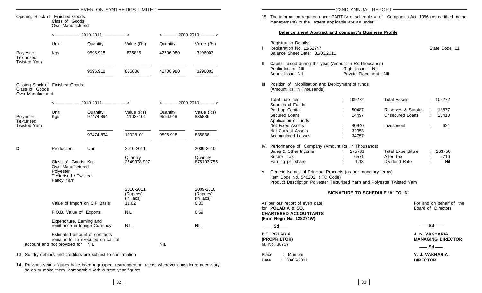|                                                                         |                                                                     | EVERLON SYNTHETICS LIMITED - THE STATE STATE STATE STATE STATE STATE STATE STATE STATE STATE STATE STATE STATE                                                   |                                    |            |                                    | 22ND ANNUAL REPORT                                                                                                                                                         |                                            |
|-------------------------------------------------------------------------|---------------------------------------------------------------------|------------------------------------------------------------------------------------------------------------------------------------------------------------------|------------------------------------|------------|------------------------------------|----------------------------------------------------------------------------------------------------------------------------------------------------------------------------|--------------------------------------------|
| Opening Stock of Finished Goods:<br>Class of Goods:<br>Own Manufactured |                                                                     |                                                                                                                                                                  |                                    |            |                                    | 15. The information required under PART-IV of schedule VI of Companies Act, 1956 (As certified by the<br>management) to the extent applicable are as under:                |                                            |
|                                                                         |                                                                     | $2010 - 2011$ $\longrightarrow$                                                                                                                                  |                                    |            | $\leftarrow$ 2009-2010 ——>         | <b>Balance sheet Abstract and company's Business Profile</b>                                                                                                               |                                            |
|                                                                         | Unit                                                                | Quantity                                                                                                                                                         | Value (Rs)                         | Quantity   | Value (Rs)                         | <b>Registration Details:</b><br>Registration No. 11/52747                                                                                                                  | State Code: 11                             |
| Polyester<br>Texturised<br><b>Twisted Yarn</b>                          | Kgs                                                                 | 9596.918                                                                                                                                                         | 835886                             | 42706.980  | 3296003                            | Balance Sheet Date: 31/03/2011                                                                                                                                             |                                            |
|                                                                         |                                                                     |                                                                                                                                                                  |                                    |            |                                    | Capital raised during the year (Amount in Rs. Thousands)<br>Public Issue: NIL<br>Right Issue: NIL                                                                          |                                            |
|                                                                         |                                                                     | 9596.918                                                                                                                                                         | 835886                             | 42706.980  | 3296003                            | Private Placement : NIL<br>Bonus Issue: NIL                                                                                                                                |                                            |
| Class of Goods<br>Own Manufactured                                      | Closing Stock of Finished Goods:                                    |                                                                                                                                                                  |                                    |            |                                    | Position of Mobilisation and Deployment of funds<br>(Amount Rs. in Thousands)                                                                                              |                                            |
|                                                                         |                                                                     |                                                                                                                                                                  |                                    |            | $\leftarrow$ 2009-2010 ——>         | <b>Total Liabilities</b><br>: 109272<br><b>Total Assets</b><br>Sources of Funds                                                                                            | : 109272                                   |
|                                                                         | Unit                                                                | Quantity                                                                                                                                                         | Value (Rs)                         | Quantity   | Value (Rs)                         | Paid up Capital<br>50487                                                                                                                                                   | Reserves & Surplus<br>18877                |
| Polyester                                                               | Kgs                                                                 | 97474.894                                                                                                                                                        | 11028101                           | 9596.918   | 835886                             | Secured Loans<br>14497                                                                                                                                                     | Unsecured Loans<br>25410                   |
| Texturised                                                              |                                                                     |                                                                                                                                                                  |                                    |            |                                    | Application of funds                                                                                                                                                       |                                            |
| <b>Twisted Yarn</b>                                                     |                                                                     |                                                                                                                                                                  |                                    |            |                                    | Net Fixed Assets<br>40940<br>Investment                                                                                                                                    | 621                                        |
|                                                                         |                                                                     | 97474.894                                                                                                                                                        | 11028101                           | 9596.918   | 835886                             | <b>Net Current Assets</b><br>32953<br>34757<br><b>Accumulated Losses</b>                                                                                                   |                                            |
| D                                                                       | Production                                                          | Unit                                                                                                                                                             | 2010-2011                          |            | 2009-2010                          | IV. Performance of Company (Amount Rs. in Thousands)                                                                                                                       |                                            |
|                                                                         |                                                                     |                                                                                                                                                                  |                                    |            |                                    | Sales & Other Income<br>275783<br>Before Tax<br>After Tax                                                                                                                  | <b>Total Expenditure</b><br>263750<br>5716 |
|                                                                         | Class of Goods Kgs                                                  |                                                                                                                                                                  | <b>Quantity</b><br>2649378.907     |            | Quantity<br>875103.755             | 6571<br>1.13<br>Earning per share                                                                                                                                          | Dividend Rate<br>Nil                       |
|                                                                         | Own Manufactured<br>Polyester<br>Texturised / Twisted<br>Fancy Yarn |                                                                                                                                                                  |                                    |            |                                    | Generic Names of Principal Products (as per monetary terms)<br>Item Code No. 540202 (ITC Code)<br>Product Description Polyester Texturised Yarn and Polyester Twisted Yarn |                                            |
|                                                                         |                                                                     |                                                                                                                                                                  | 2010-2011<br>(Rupees)<br>(in lacs) |            | 2009-2010<br>(Rupees)<br>(in lacs) | SIGNATURE TO SCHEDULE 'A' TO 'N'                                                                                                                                           |                                            |
|                                                                         | Value of Import on CIF Basis                                        |                                                                                                                                                                  | 11.62                              |            | 0.00                               | As per our report of even date                                                                                                                                             | For and on behalf of the                   |
|                                                                         | F.O.B. Value of Exports                                             |                                                                                                                                                                  | <b>NIL</b>                         |            | 0.69                               | for POLADIA & CO.<br><b>CHARTERED ACCOUNTANTS</b>                                                                                                                          | Board of Directors                         |
|                                                                         | Expenditure, Earning and                                            | remittance in foreign Currency                                                                                                                                   | NIL                                |            | <b>NIL</b>                         | (Firm Regn No. 128274W)<br>$\rule{1em}{0.15mm}$ Sd $\rule{1em}{0.15mm}$                                                                                                    | $-$ Sd $-$                                 |
|                                                                         |                                                                     | Estimated amount of contracts                                                                                                                                    |                                    |            |                                    | P.T. POLADIA                                                                                                                                                               | J. K. VAKHARIA                             |
|                                                                         |                                                                     | remains to be executed on capital                                                                                                                                |                                    |            |                                    | (PROPRIETOR)                                                                                                                                                               | <b>MANAGING DIRECTOR</b>                   |
|                                                                         | account and not provided for NIL                                    |                                                                                                                                                                  |                                    | <b>NIL</b> |                                    | M. No. 38757                                                                                                                                                               | $-$ Sd $-$                                 |
|                                                                         |                                                                     | 13. Sundry debtors and creditors are subject to confirmation                                                                                                     |                                    |            |                                    | : Mumbai<br>Place<br>: 30/05/2011<br>Date                                                                                                                                  | V. J. VAKHARIA<br><b>DIRECTOR</b>          |
|                                                                         |                                                                     | 14. Previous year's figures have been regrouped, rearranged or recast wherever considered necessary,<br>so as to make them comparable with current year figures. |                                    |            |                                    |                                                                                                                                                                            |                                            |

 $32$  33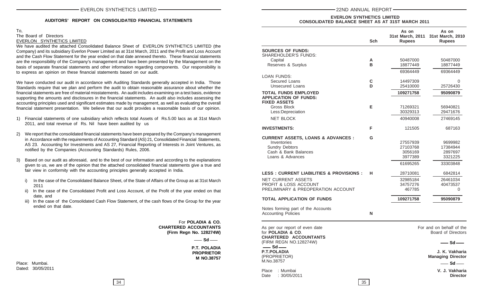# **AUDITORS' REPORT ON CONSOLIDATED FINANCIAL STATEMENTS**

# To, The Board of Directors EVERLON SYNTHETICS LIMITED

We have audited the attached Consolidated Balance Sheet of EVERLON SYNTHETICS LIMITED (the Company) and its subsidiary Everlon Power Limited as at 31st March, 2011 and the Profit and Loss Account and the Cash Flow Statement for the year ended on that date annexed thereto. These financial statements are the responsibility of the Company's management and have been presented by the Management on the basis of separate financial statements and other information regarding components. Our responsibility is to express an opinion on these financial statements based on our audit.

We have conducted our audit in accordance with Auditing Standards generally accepted in India. Those Standards require that we plan and perform the audit to obtain reasonable assurance about whether the financial statements are free of material misstatements. An audit includes examining on a test basis, evidence supporting the amounts and disclosures in the financial statements. An audit also includes assessing the accounting principles used and significant estimates made by management, as well as evaluating the overall financial statement presentation. We believe that our audit provides a reasonable basis of our opinion.

- 1) Financial statements of one subsidiary which reflects total Assets of Rs.5.00 lacs as at 31st March 2011, and total revenue of Rs. Nil have been audited by us
- 2) We report that the consolidated financial statements have been prepared by the Company's management in Accordance with the requirements of Accounting Standard (AS) 21, Consolidated Financial Statements, AS 23. Accounting for Investments and AS 27, Financial Reporting of Interests in Joint Ventures, as notified by the Companies (Accounting Standards) Rules, 2006.
- 3) Based on our audit as aforesaid, and to the best of our information and according to the explanations given to us, we are of the opinion that the attached consolidated financial statements give a true and fair view in conformity with the accounting principles generally accepted in India.
	- i) In the case of the Consolidated Balance Sheet, of the State of Affairs of the Group as at 31st March 2011
	- ii) In the case of the Consolidated Profit and Loss Account, of the Profit of the year ended on that date, and
	- iii) In the case of the Consolidated Cash Flow Statement, of the cash flows of the Group for the year ended on that date.

 For **POLADIA & CO. CHARTERED ACCOUNTANTS (Firm Regn No. 128274W)**

> **P.T. POLADIA PROPRIETOR M NO.38757**

#### **EVERLON SYNTHETICS LIMITED CONSOLIDATED BALANCE SHEET AS AT 31ST MARCH 2011**

|                                                            |                                                                                                                                   |                  | As on                                                  | As on                                                 |
|------------------------------------------------------------|-----------------------------------------------------------------------------------------------------------------------------------|------------------|--------------------------------------------------------|-------------------------------------------------------|
|                                                            |                                                                                                                                   | Sch              | <b>Rupees</b>                                          | 31st March, 2011 31st March, 2010<br><b>Rupees</b>    |
| TED (the<br><b>Account</b><br>atements                     | <b>SOURCES OF FUNDS:</b><br>SHAREHOLDER'S FUNDS:                                                                                  |                  |                                                        |                                                       |
| nt on the<br>ısibility is                                  | Capital<br>Reserves & Surplus                                                                                                     | Α<br>в           | 50487000<br>18877449                                   | 50487000<br>18877449                                  |
|                                                            | <b>LOAN FUNDS:</b>                                                                                                                |                  | 69364449                                               | 69364449                                              |
| เ. Those<br>ether the                                      | Secured Loans<br><b>Unsecured Loans</b>                                                                                           | $\mathbf C$<br>D | 14497309<br>25410000                                   | $\Omega$<br>25726430                                  |
| evidence<br>ssing the                                      | <b>TOTAL FUNDS EMPLOYED</b><br><b>APPLICATION OF FUNDS:</b>                                                                       |                  | 109271758                                              | 95090879                                              |
| e overall<br>opinion.                                      | <b>FIXED ASSETS</b><br>Gross Block<br>Less:Depreciation                                                                           | Е                | 71269321<br>30329313                                   | 56940821<br>29471676                                  |
| st March                                                   | <b>NET BLOCK</b>                                                                                                                  |                  | 40940008                                               | 27469145                                              |
|                                                            | <b>INVESTMENTS:</b>                                                                                                               | F                | 121505                                                 | 687163                                                |
| agement<br>atements,<br>tures, as<br>lanations<br>true and | <b>CURRENT ASSETS, LOANS &amp; ADVANCES :</b><br>Inventories<br><b>Sundry Debtors</b><br>Cash & Bank Balances<br>Loans & Advances | G                | 27557939<br>27103768<br>3056169<br>3977389<br>61695265 | 9699982<br>17384944<br>2897697<br>3321225<br>33303848 |
|                                                            | <b>LESS : CURRENT LIABILITIES &amp; PROVISIONS :</b>                                                                              | н                | 28710081                                               | 6842814                                               |
| st March<br>d on that                                      | NET CURRENT ASSETS<br>PROFIT & LOSS ACCOUNT<br>PRELIMINARY & PREOPERATION ACCOUNT                                                 |                  | 32985184<br>34757276<br>467785                         | 26461034<br>40473537<br>0                             |
| the year                                                   | <b>TOTAL APPLICATION OF FUNDS</b>                                                                                                 |                  | 109271758                                              | 95090879                                              |
|                                                            | Notes forming part of the Accounts<br><b>Accounting Policies</b>                                                                  | N                |                                                        |                                                       |
| A & CO.<br><b>NTANTS</b><br>28274W)<br>$\mathsf{Sd}$ —     | As per our report of even date<br>for <b>POLADIA &amp; CO.</b><br><b>CHARTERED ACCOUNTANTS</b>                                    |                  |                                                        | For and on behalf of the<br>Board of Directors        |
| <b>OLADIA</b>                                              | (FIRM REGN NO.128274W)<br>$-$ Sd $-$                                                                                              |                  |                                                        | — Sd —                                                |
| <b>RIETOR</b><br>10.38757                                  | <b>P.T.POLADIA</b><br>(PROPRIETOR)<br>M.No.38757                                                                                  |                  |                                                        | J. K. Vakharia<br><b>Managing Director</b>            |
|                                                            | Place<br>: Mumbai<br>: 30/05/2011<br>Date                                                                                         |                  |                                                        | $-$ Sd $-$<br>V. J. Vakharia<br><b>Director</b>       |

Place: Mumbai. Dated: 30/05/2011

 $34$   $|$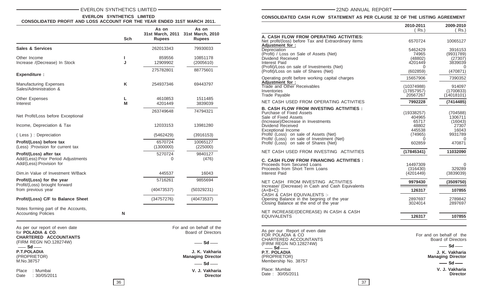# EVERLON SYNTHETICS LIMITED **Annual REPORT** - The CONDUCT CONDUCT CONDUCT CONDUCT - The CONDUCT CONDUCT CONDUCT CONDUCT CONDUCT CONDUCT CONDUCT CONDUCT CONDUCT CONDUCT CONDUCT CONDUCT CONDUCT CONDUCT CONDUCT CONDUCT CONDUCT

#### **EVERLON SYNTHETICS LIMITED CONSOLIDATED PROFIT AND LOSS ACCOUNT FOR THE YEAR ENDED 31ST MARCH 2011.**

|                                               |              | As on              | As on<br>31st March, 2011 31st March, 2010 | A. CASH FLOW FROM OPERATING ACTIVITIES:                                                 | 2010-2011<br>( Rs.)      | 2009                     |
|-----------------------------------------------|--------------|--------------------|--------------------------------------------|-----------------------------------------------------------------------------------------|--------------------------|--------------------------|
|                                               | Sch          | <b>Rupees</b>      | <b>Rupees</b>                              | Net profit/(loss) before Tax and Extraordinary items                                    | 6570724                  | 100                      |
| <b>Sales &amp; Services</b>                   |              | 262013343          | 79930033                                   | Adjustment for:<br>Depreciation                                                         | 5462429                  | 39                       |
|                                               |              |                    |                                            | (Profit) / Loss on Sale of Assets (Net)                                                 | 74965                    | (99)                     |
| Other Income<br>Increase /(Decrease) In Stock | J            | 859556<br>12909902 | 10851178<br>(2005610)                      | Dividend Received<br>Interest Paid                                                      | (48802)<br>4201449       | 38                       |
|                                               |              |                    |                                            | (Profit)/Loss on sale of Investments (Net)                                              |                          |                          |
| <b>Expenditure:</b>                           |              | 275782801          | 88775601                                   | (Profit)/Loss on sale of Shares (Net)                                                   | (602859)                 | (47)                     |
|                                               |              |                    |                                            | Operating profit before working capital charges                                         | 15657906                 | 73                       |
| <b>Manufacturing Expenses</b>                 | Κ            | 254937346          | 69443797                                   | Adjustment for:                                                                         |                          | 9                        |
| Sales/Administration &                        |              |                    |                                            | Trade and Other Receivables<br>Inventories                                              | (10374988)<br>(17857957) | (170)                    |
|                                               |              |                    |                                            | Trade Payable                                                                           | 20567267                 | (140)                    |
| Other Expenses                                |              | 4610853            | 1511485                                    | NET CASH USED FROM OPERATING ACTIVITIES                                                 | 7992228                  | (74)                     |
| Interest                                      | M            | 4201449            | 3839039                                    |                                                                                         |                          |                          |
|                                               |              | 263749648          | 74794321                                   | <b>B. CASH FLOW FROM INVESTING ACTIVITIES :</b>                                         | (19338257)               |                          |
| Net Profit/Loss before Exceptional            |              |                    |                                            | Purchase of Fixed Assets<br>Sale of Fixed Assets                                        | 404965                   | (70)<br>13               |
|                                               |              |                    |                                            | (Increase)/Decrease in Investments                                                      | 65717                    |                          |
| Income, Depreciation & Tax                    |              | 12033153           | 13981280                                   | Dividend Received                                                                       | 48802                    |                          |
|                                               |              |                    |                                            | Exceptional Income                                                                      | 445538                   |                          |
| (Less): Depreciation                          |              | (5462429)          | (3916153)                                  | Profit/ (Loss) on sale of Assets (Net)                                                  | (74965)                  | 99                       |
| Profit/(Loss) before tax                      |              | 6570724            | 10065127                                   | Profit/ (Loss) on sale of Investment (Net)<br>Profit/ (Loss) on sale of Shares (Net)    | 602859                   | $\overline{4}$           |
| (Less) :Provision for current tax             |              | (1300000)          | (225000)                                   |                                                                                         |                          |                          |
| Profit/(Loss) after tax                       |              | 5270724            | 9840127                                    | NET CASH USED FROM INVESTING ACTIVITIES                                                 | (17845341)               | 110                      |
| Add/(Less): Prior Period Adjustments          |              | $\Omega$           | (476)                                      |                                                                                         |                          |                          |
| Add/(Less):Provision for                      |              |                    |                                            | <b>C. CASH FLOW FROM FINANCING ACTIVITIES :</b><br>Proceeds from Secured Loans          | 14497309                 |                          |
|                                               |              |                    |                                            | Proceeds from Short Term Loans                                                          | (316430)                 | 3                        |
| Dim.in Value of Investment W/Back             |              | 445537             | 16043                                      | Interest Paid                                                                           | (4201449)                | (38)                     |
| Profit/(Loss) for the year                    |              | 5716261            | 9855694                                    |                                                                                         |                          |                          |
| Profit/(Loss) brought forward                 |              |                    |                                            | NET CASH FROM INVESTING ACTIVITIES<br>Increase/ (Decrease) in Cash and Cash Equivalents | 9979430                  | (350)                    |
| from previous year                            |              | (40473537)         | (50329231)                                 | $(A+B+C)$                                                                               | 126317                   | $\overline{\phantom{0}}$ |
|                                               |              |                    |                                            | CASH & CASH EQUIVALENTS :-                                                              |                          |                          |
| Profit/(Loss) C/F to Balance Sheet            |              | (34757276)         | (40473537)                                 | Opening Balance in the begning of the year                                              | 2897697                  | 27                       |
|                                               |              |                    |                                            | Closing Balance at the end of the year                                                  | 3024014                  | 28                       |
| Notes forming part of the Accounts,           |              |                    |                                            | NET INCREASE/(DECREASE) IN CASH & CASH                                                  |                          |                          |
| <b>Accounting Policies</b>                    | $\mathsf{N}$ |                    |                                            | <b>EQUIVALENTS</b>                                                                      | 126317                   | $\overline{1}$           |
|                                               |              |                    |                                            |                                                                                         |                          |                          |
| As per our report of even date                |              |                    | For and on behalf of the                   |                                                                                         |                          |                          |
| for POLADIA & CO.                             |              |                    | Board of Directors                         | As per our Report of even date<br>FOR POLADIA & CO                                      |                          |                          |
| <b>CHARTERED ACCOUNTANTS</b>                  |              |                    |                                            | CHARTERED ACCOUNTANTS                                                                   | For and on behalf        | Board of Di              |
| (FIRM REGN NO.128274W)                        |              |                    | $-$ Sd $-$                                 | (FIRM REGN NO.128274W)                                                                  |                          |                          |
| $\equiv$ Sd $\equiv$                          |              |                    |                                            | $-$ Sd $-$                                                                              |                          | —— Sd                    |
| <b>P.T.POLADIA</b>                            |              |                    | J. K. Vakharia                             | P.T. POLADIA                                                                            |                          | J. K. Va                 |
| (PROPRIETOR)<br>M.No.38757                    |              |                    | <b>Managing Director</b>                   | (PROPRIETOR)<br>Membership No. 38757                                                    |                          | <b>Managing Di</b>       |
|                                               |              |                    | $-$ Sd $-$                                 |                                                                                         |                          | $\equiv$ Sd              |

Place : Mumbai **V. J. Vakharia** Date : 30/05/2011

**CONSOLIDATED CASH FLOW STATEMENT AS PER CLAUSE 32 OF THE LISTING AGREEMENT**

|                                                                                                                                                                                                                                                                                                                        | 2010-2011<br>(Rs.)                                                         | 2009-2010<br>(Rs.)                                                         |
|------------------------------------------------------------------------------------------------------------------------------------------------------------------------------------------------------------------------------------------------------------------------------------------------------------------------|----------------------------------------------------------------------------|----------------------------------------------------------------------------|
| A. CASH FLOW FROM OPERATING ACTIVITIES:<br>Net profit/(loss) before Tax and Extraordinary items<br>Adjustment for:                                                                                                                                                                                                     | 6570724                                                                    | 10065127                                                                   |
| Depreciation<br>(Profit) / Loss on Sale of Assets (Net)<br>Dividend Received<br>Interest Paid<br>(Profit)/Loss on sale of Investments (Net)                                                                                                                                                                            | 5462429<br>74965<br>(48802)<br>4201449<br>0                                | 3916153<br>(9931789)<br>(27307)<br>3839039<br>O                            |
| (Profit)/Loss on sale of Shares (Net)                                                                                                                                                                                                                                                                                  | (602859)                                                                   | (470871)                                                                   |
| Operating profit before working capital charges<br><b>Adjustment for:</b><br>Trade and Other Receivables<br>Inventories<br>Trade Payable                                                                                                                                                                               | 15657906<br>(10374988)<br>(17857957)<br>20567267                           | 7390352<br>914097<br>(1700833)<br>(14018101)                               |
| NET CASH USED FROM OPERATING ACTIVITIES                                                                                                                                                                                                                                                                                | 7992228                                                                    | (7414485)                                                                  |
| B. CASH FLOW FROM INVESTING ACTIVITIES :<br>Purchase of Fixed Assets<br>Sale of Fixed Assets<br>(Increase)/Decrease in Investments<br>Dividend Received<br><b>Exceptional Income</b><br>Profit/ (Loss) on sale of Assets (Net)<br>Profit/ (Loss) on sale of Investment (Net)<br>Profit/ (Loss) on sale of Shares (Net) | (19338257)<br>404965<br>65717<br>48802<br>445538<br>(74965)<br>0<br>602859 | (704588)<br>1306711<br>(16043)<br>27307<br>16043<br>9931789<br>0<br>470871 |
| NET CASH USED FROM INVESTING ACTIVITIES                                                                                                                                                                                                                                                                                | (17845341)                                                                 | 11032090                                                                   |
| C. CASH FLOW FROM FINANCING ACTIVITIES :<br>Proceeds from Secured Loans<br>Proceeds from Short Term Loans<br>Interest Paid                                                                                                                                                                                             | 14497309<br>(316430)<br>(4201449)                                          | $\Omega$<br>329289<br>(3839039)                                            |
| NET CASH FROM INVESTING ACTIVITIES                                                                                                                                                                                                                                                                                     | 9979430                                                                    | (3509750)                                                                  |
| Increase/ (Decrease) in Cash and Cash Equivalents<br>(A+B+C)                                                                                                                                                                                                                                                           | 126317                                                                     | 107855                                                                     |
| CASH & CASH EQUIVALENTS :-<br>Opening Balance in the begning of the year<br>Closing Balance at the end of the year                                                                                                                                                                                                     | 2897697<br>3024014                                                         | 2789842<br>2897697                                                         |
| NET INCREASE/(DECREASE) IN CASH & CASH<br>EQUIVALENTS                                                                                                                                                                                                                                                                  | 126317                                                                     | 107855                                                                     |
| As per our Report of even date<br>FOR POLADIA & CO<br>CHARTERED ACCOUNTANTS<br>(FIRM REGN NO.128274W)<br>– Sd —                                                                                                                                                                                                        |                                                                            | For and on behalf of the<br>Board of Directors<br>– Sd –                   |
| P.T. POLADIA<br>(PROPRIETOR)<br>Membership No. 38757                                                                                                                                                                                                                                                                   |                                                                            | J. K. Vakharia<br><b>Managing Director</b><br>$-$ Sd $-$                   |
| Place: Mumbai<br>Date: 30/05/2011                                                                                                                                                                                                                                                                                      |                                                                            | V. J. Vakharia<br><b>Director</b>                                          |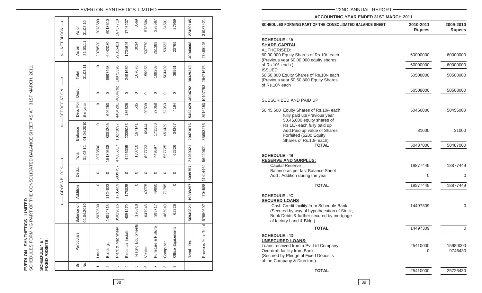|                        | SCHEDULES FORMING PART OF THE CONSOLIDATED BALANCE SHEET AS AT 31ST MARCH, 2011<br>フェーニュ フフェンフリッション |
|------------------------|-----------------------------------------------------------------------------------------------------|
| EVERLON SYNTHETICS LIN |                                                                                                     |

SCHEDULE ' E '<br>FIXED ASSETS: **SCHEDULE ' E ' FIXED ASSETS:**

|                           | Ĵ                        | -GROSS BLOCK- |         | ↑                        |                       | <---- DEPRECIATION   |         | $\hat{1}$                 | <- NET BLOCK      | $\hat{\textbf{I}}$ |
|---------------------------|--------------------------|---------------|---------|--------------------------|-----------------------|----------------------|---------|---------------------------|-------------------|--------------------|
| Particulars               | Balance on<br>01.04.2010 | Addition      | Dedu.   | 31.03.11<br>Total        | 01.04.2010<br>Balance | Dep. For<br>the year | Dedu.   | 31.03.11<br>Total         | 31.03.11<br>As on | 31.03.10<br>As on  |
| Land                      | 2078580                  | $\circ$       | 0       | 2078580                  | $\circ$               | $\circ$              | $\circ$ | $\circ$                   | 2078580           | 2078580            |
| <b>Buildings</b>          | 14014715                 | 1124823       | $\circ$ | 5139538                  | 8001205               | 696253               | $\circ$ | 8697458                   | 6442080           | 6013510            |
| Plant & Machinery         | 35029615                 | 1786659       | 5009757 | 47886817                 | 18271897              | 4404291 4604792      |         | 18071396                  | 29815421          | 16757718           |
| Electrical Install.       | 4051270                  | 175035        | $\circ$ | 4226305                  | 2305033               | 186626               | $\circ$ | 2491659                   | 1734646           | 1746237            |
| <b>Testing Equipments</b> | 170710                   | $\circ$       | 0       | 170710                   | 167141                | 535                  | $\circ$ | 167676                    | 3034              | 3569               |
| Vehicle                   | 647948                   | 49775         | $\circ$ | 697723                   | 69444                 | 90509                | $\circ$ | 159953                    | 537770            | 578504             |
| Furniture & Fixture       | 399717                   | 49880         | $\circ$ | 449597                   | 171150                | 27058                | $\circ$ | 198208                    | 251389            | 228567             |
| Computer                  | 485940                   | 71785         | $\circ$ | 557725                   | 451439                | 52963                | $\circ$ | 504402                    | 53323             | 34501              |
| Office Equipments         | 62326                    | $\circ$       | 0       | 62326                    | 34367                 | 4194                 | $\circ$ | 38561                     | 23765             | 27959              |
| Rs.<br><b>Total</b>       | 56940821                 | 19338257      | 5009757 | 71269321                 | 29471676              | 5462429              | 4604792 | 30329313                  | 40940008          | 27469145           |
| Previous Year Total       | 67650697                 |               |         | 704588 11414464 56940821 | 35663276              |                      |         | 3916153 10107753 29471676 | 27469145          | 31987421           |
|                           |                          |               |         |                          |                       |                      |         |                           |                   |                    |

# EVERLON SYNTHETICS LIMITED 22ND ANNUAL REPORT

**ACCOUNTING YEAR ENDED 31ST MARCH 2011.**

| SCHEDULES FORMING PART OF THE CONSOLIDATED BALANCE SHEET                                                                                                                                         | 2010-2011<br><b>Rupees</b> | 2009-2010<br><b>Rupees</b> |
|--------------------------------------------------------------------------------------------------------------------------------------------------------------------------------------------------|----------------------------|----------------------------|
| <b>SCHEDULE - 'A'</b><br><b>SHARE CAPITAL</b><br><b>AUTHORISED:</b>                                                                                                                              |                            |                            |
| 60,00,000 Equity Shares of Rs.10/- each<br>(Previous year 60,00,000 equity shares                                                                                                                | 60000000                   | 60000000                   |
| of Rs.10/- each)<br><b>ISSUED</b>                                                                                                                                                                | 60000000                   | 60000000                   |
| 50,50,800 Equity Shares of Rs.10/- each<br>(Previous year 50,50,800 Equity Shares<br>of Rs.10/- each                                                                                             | 50508000                   | 50508000                   |
|                                                                                                                                                                                                  | 50508000                   | 50508000                   |
| SUBSCRIBED AND PAID UP                                                                                                                                                                           |                            |                            |
| 50,45,600 Equity Shares of Rs.10/- each<br>fully paid up(Previous year<br>50,45,600 equity shares of                                                                                             | 50456000                   | 50456000                   |
| Rs.10/- each fully paid up<br>Add: Paid up value of Shares<br>Forfeited (5200 Equity<br>Shares of Rs.10/- each)                                                                                  | 31000                      | 31000                      |
| <b>TOTAL</b>                                                                                                                                                                                     | 50487000                   | 50487000                   |
| <b>SCHEDULE - 'B'</b>                                                                                                                                                                            |                            |                            |
| <b>RESERVE AND SURPLUS:</b><br><b>Capital Reserve</b>                                                                                                                                            | 18877449                   | 18877449                   |
| Balance as per last Balance Sheet<br>Add: Addition during the year                                                                                                                               | 0                          | 0                          |
| <b>TOTAL</b>                                                                                                                                                                                     | 18877449                   | 18877449                   |
| <b>SCHEDULE - 'C'</b>                                                                                                                                                                            |                            |                            |
| <b>SECURED LOANS</b><br>Cash Credit facility from Schedule Bank<br>(Secured by way of hypothecation of Stock,<br>Book Debts & further secured by mortgage<br>of factory Land & Bldg)             | 14497309                   | 0                          |
| <b>TOTAL</b>                                                                                                                                                                                     | 14497309                   | $\mathbf 0$                |
| <b>SCHEDULE - 'D'</b><br><b>UNSECURED LOANS:</b><br>Loans received from a Pvt.Ltd Company<br>Overdraft facility from Bank<br>(Secured by Pledge of Fixed Deposits<br>of the Company & Directors) | 25410000<br>0              | 15980000<br>9746430        |
| <b>TOTAL</b>                                                                                                                                                                                     | 25410000                   | 25726430                   |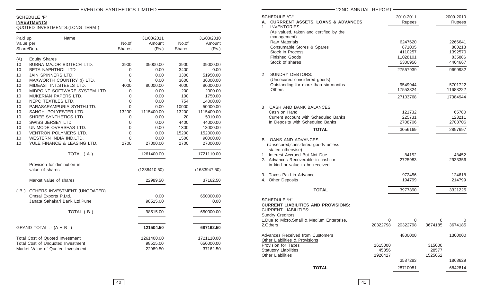# **SCHEDULE 'F'**

# **INVESTMENTS**

QUOTED INVESTMENTS:(LONG TERM )

| Paid up<br>Value per<br>Share/Deb. | Name                                             | No.of<br><b>Shares</b> | 31/03/2011<br>Amount<br>(Rs.) | No.of<br><b>Shares</b> | 31/03/2010<br>Amount<br>(Rs.) |
|------------------------------------|--------------------------------------------------|------------------------|-------------------------------|------------------------|-------------------------------|
|                                    |                                                  |                        |                               |                        |                               |
| (A)<br>10                          | <b>Equity Shares</b><br>BUBNA MAJOR BIOTECH LTD. | 3900                   | 39000.00                      | 3900                   | 39000.00                      |
| 10                                 | BETA NAPHTHOL LTD                                | 0                      | 0.00                          | 3400                   | 0.00                          |
| 10                                 | JAIN SPINNERS LTD.                               | 0                      | 0.00                          | 3300                   | 51950.00                      |
| 10                                 | MAXWORTH COUNTRY (I) LTD.                        | 0                      | 0.00                          | 3600                   | 36000.00                      |
| 10                                 | MIDEAST INT.STEELS LTD.                          | 4000                   | 80000.00                      | 4000                   | 80000.00                      |
| 10                                 | MIDPOINT SOFTWARE SYSTEM LTD                     | 0                      | 0.00                          | 200                    | 2000.00                       |
| 10                                 | MUKERIAN PAPERS LTD.                             | 0                      | 0.00                          | 100                    | 1750.00                       |
| 10                                 | NEPC TEXTILES LTD.                               | 0                      | 0.00                          | 754                    | 14000.00                      |
| 10                                 | PARASARAMPURIA SYNTH.LTD.                        | $\Omega$               | 0.00                          | 10000                  | 50000.00                      |
| 10                                 | SANGHI POLYESTER LTD.                            | 13200                  | 1115400.00                    | 13200                  | 1115400.00                    |
| 10                                 | SHREE SYNTHETICS LTD.                            | 0                      | 0.00                          | 20                     | 5010.00                       |
| 10                                 | SWISS JERSEY LTD.                                | 0                      | 0.00                          | 4400                   | 44000.00                      |
| 10                                 | UNIMODE OVERSEAS LTD.                            | $\mathbf 0$            | 0.00                          | 1300                   | 13000.00                      |
| 10                                 | VENTRON POLYMERS LTD.                            | $\overline{0}$         | 0.00                          | 15200                  | 152000.00                     |
| 10                                 | WESTERN INDIA IND.LTD.                           | $\overline{0}$         | 0.00                          | 1500                   | 90000.00                      |
| 10                                 | YULE FINANCE & LEASING LTD.                      | 2700                   | 27000.00                      | 2700                   | 27000.00                      |
|                                    | TOTAL (A)                                        |                        | 1261400.00                    |                        | 1721110.00                    |
|                                    | Provision for diminution in                      |                        |                               |                        |                               |
|                                    | value of shares                                  |                        | (1238410.50)                  |                        | (1683947.50)                  |
|                                    | Market value of shares                           |                        | 22989.50                      |                        | 37162.50                      |
| (B)                                | OTHERS INVESTMENT (UNQOATED)                     |                        |                               |                        |                               |
|                                    | Omsai Exports P.Ltd.                             |                        | 0.00                          |                        | 650000.00                     |
|                                    | Janata Sahakari Bank Ltd.Pune                    |                        | 98515.00                      |                        | 0.00                          |
|                                    | TOTAL (B)                                        |                        | 98515.00                      |                        | 650000.00                     |
|                                    |                                                  |                        |                               |                        |                               |
|                                    | GRAND TOTAL :- $(A + B)$                         |                        | 121504.50                     |                        | 687162.50                     |
|                                    | Total Cost of Quoted Investment                  |                        | 1261400.00                    |                        | 1721110.00                    |
|                                    | Total Cost of Unquoted Investment                |                        | 98515.00                      |                        | 650000.00                     |
|                                    | Market Value of Quoted Investment                |                        | 22989.50                      |                        | 37162.50                      |

| - EVERLON SYNTHETICS LIMITED- |                                     |                                    |                       |                                     | 22ND ANNUAL REPORT-                                                                                                                                   |                                        |                                       |  |
|-------------------------------|-------------------------------------|------------------------------------|-----------------------|-------------------------------------|-------------------------------------------------------------------------------------------------------------------------------------------------------|----------------------------------------|---------------------------------------|--|
| NG TERM)                      |                                     |                                    |                       |                                     | <b>SCHEDULE 'G"</b><br>A. CURRRENT ASSETS, LOANS & ADVANCES<br><b>INVENTORIES:</b>                                                                    | 2010-2011<br>Rupees                    | 2009-2010<br>Rupees                   |  |
|                               | No.of<br><b>Shares</b>              | 31/03/2011<br>Amount<br>(Rs.)      | No.of<br>Shares       | 31/03/2010<br>Amount<br>(Rs.)       | (As valued, taken and certified by the<br>management)<br><b>Raw Materials</b><br>Consumable Stores & Spares<br>Stock in Process                       | 6247620<br>871005<br>4110257           | 2266641<br>800218<br>1392570          |  |
| CH LTD.                       | 3900                                | 39000.00                           | 3900                  | 39000.00                            | <b>Finished Goods</b><br>Stock of shares                                                                                                              | 11028101<br>5300956                    | 835886<br>4404667                     |  |
| Y (I) LTD.                    | $\mathbf 0$<br>0<br>$\mathbf 0$     | 0.00<br>0.00<br>0.00               | 3400<br>3300<br>3600  | 0.00<br>51950.00<br>36000.00        | <b>SUNDRY DEBTORS:</b><br>2<br>(Unsecured considered goods)                                                                                           | 27557939                               | 9699982                               |  |
| LTD.<br><b>SYSTEM LTD</b>     | 4000<br>$\mathbf 0$<br>$\Omega$     | 80000.00<br>0.00                   | 4000<br>200           | 80000.00<br>2000.00                 | Outstanding for more than six months<br><b>Others</b>                                                                                                 | 9549944<br>17553824                    | 5701722<br>11683222                   |  |
| TD.<br>NTH.LTD.               | $\Omega$<br>$\mathbf 0$             | 0.00<br>0.00<br>0.00               | 100<br>754<br>10000   | 1750.00<br>14000.00<br>50000.00     | CASH AND BANK BALANCES:<br>3                                                                                                                          | 27103768                               | 17384944                              |  |
| LTD.<br>LTD.                  | 13200<br>0<br>O                     | 1115400.00<br>0.00<br>0.00         | 13200<br>20<br>4400   | 1115400.00<br>5010.00<br>44000.00   | Cash on Hand<br>Current account with Scheduled Banks<br>In Deposits with Scheduled Banks                                                              | 121732<br>225731<br>2708706            | 65780<br>123211<br>2708706            |  |
| LTD.<br>LTD.<br>TD.           | $\Omega$<br>$\Omega$<br>$\mathbf 0$ | 0.00<br>0.00<br>0.00               | 1300<br>15200<br>1500 | 13000.00<br>152000.00<br>90000.00   | <b>TOTAL</b>                                                                                                                                          | 3056169                                | 2897697                               |  |
| SING LTD.                     | 2700                                | 27000.00                           | 2700                  | 27000.00                            | <b>B. LOANS AND ADVANCES:</b><br>(Unsecured, considered goods unless<br>stated otherwise)                                                             |                                        |                                       |  |
| AL (A)<br>in                  |                                     | 1261400.00                         |                       | 1721110.00                          | 1. Interest Accrued But Not Due<br>2. Advances Recoverable in cash or<br>in kind or value to be received                                              | 84152<br>2725983                       | 48452<br>2933356                      |  |
|                               |                                     | (1238410.50)<br>22989.50           |                       | (1683947.50)<br>37162.50            | Taxes Paid in Advance<br>3.<br>4. Other Deposits                                                                                                      | 972456<br>194799                       | 124618<br>214799                      |  |
| (UNQOATED)                    |                                     |                                    |                       |                                     | <b>TOTAL</b>                                                                                                                                          | 3977390                                | 3321225                               |  |
| td.Pune                       |                                     | 0.00<br>98515.00                   |                       | 650000.00<br>0.00                   | <b>SCHEDULE 'H'</b><br><b>CURRENT LIABILITIES AND PROVISIONS:</b>                                                                                     |                                        |                                       |  |
| $\mathsf{AL}(\mathsf{B})$     |                                     | 98515.00                           |                       | 650000.00                           | <b>CURRENT LIABILITIES:</b><br><b>Sundry Creditors</b><br>1.Due to Micro, Small & Medium Enterprise.                                                  | $\Omega$<br>$\Omega$                   | $\Omega$                              |  |
|                               |                                     | 121504.50                          |                       | 687162.50                           | 2.Others                                                                                                                                              | 20322798<br>20322798                   | 3674185<br>3674185                    |  |
| ent<br>ment<br>tment          |                                     | 1261400.00<br>98515.00<br>22989.50 |                       | 1721110.00<br>650000.00<br>37162.50 | Advances Received from Customers<br>Other Liabilities & Provisions<br>Provision for Taxes<br><b>Statutory Liabilities</b><br><b>Other Liabilities</b> | 4800000<br>1615000<br>45856<br>1926427 | 1300000<br>315000<br>28577<br>1525052 |  |
|                               |                                     |                                    |                       |                                     |                                                                                                                                                       | 3587283                                | 1868629                               |  |
|                               |                                     |                                    |                       |                                     | <b>TOTAL</b>                                                                                                                                          | 28710081                               | 6842814                               |  |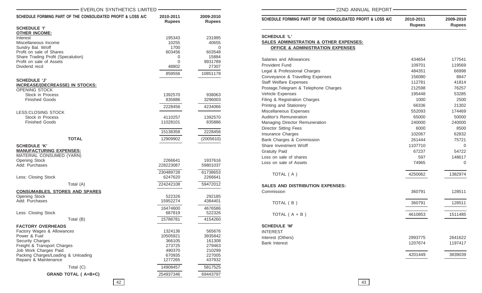| EVERLON SYNTHETICS LIMITED                                                                                                  |                            |                            |
|-----------------------------------------------------------------------------------------------------------------------------|----------------------------|----------------------------|
| SCHEDULE FORMING PART OF THE CONSOLIDATED PROFIT & LOSS A/C                                                                 | 2010-2011<br><b>Rupees</b> | 2009-2010<br><b>Rupees</b> |
| <b>SCHEDULE 'I'</b>                                                                                                         |                            |                            |
| <b>OTHER INCOME:</b>                                                                                                        |                            |                            |
| Interest                                                                                                                    | 195343                     | 231995                     |
| Miscellaneous Income<br>Sundry Bal. W/off                                                                                   | 10255<br>1700              | 40655<br>0                 |
| Profit on sale of Shares                                                                                                    | 603456                     | 603548                     |
| Share Trading Profit (Specalution)                                                                                          | 0                          | 15884                      |
| Profit on sale of Assets                                                                                                    | 0                          | 9931789                    |
| Dividend recd                                                                                                               | 48802                      | 27307                      |
|                                                                                                                             | 859556                     | 10851178                   |
| <b>SCHEDULE 'J'</b>                                                                                                         |                            |                            |
| <b>INCREASE/(DECREASSE) IN STOCKS:</b><br>OPENING STOCK                                                                     |                            |                            |
| Stock in Process                                                                                                            | 1392570                    | 938063                     |
| <b>Finished Goods</b>                                                                                                       | 835886                     | 3296003                    |
|                                                                                                                             | 2228456                    | 4234066                    |
| LESS: CLOSING STOCK                                                                                                         |                            |                            |
| Stock in Process                                                                                                            | 4110257                    | 1392570                    |
| <b>Finished Goods</b>                                                                                                       | 11028101                   | 835886                     |
|                                                                                                                             | 15138358                   | 2228456                    |
| <b>TOTAL</b>                                                                                                                | 12909902                   | (2005610)                  |
| <b>SCHEDULE 'K'</b><br><b>MANUFACTURING EXPENSES:</b><br>MATERIAL CONSUMED (YARN)<br><b>Opening Stock</b><br>Add: Purchases | 2266641<br>228223087       | 1937616<br>59801037        |
|                                                                                                                             |                            |                            |
| Less: Closing Stock                                                                                                         | 230489728<br>6247620       | 61738653<br>2266641        |
| Total (A)                                                                                                                   | 224242108                  | 59472012                   |
|                                                                                                                             |                            |                            |
| <b>CONSUMABLES, STORES AND SPARES</b><br>Opening Stock                                                                      | 522326                     | 292185                     |
| Add: Purchases                                                                                                              | 15952274                   | 4384401                    |
|                                                                                                                             | 16474600                   | 4676586                    |
| Less: Closing Stock                                                                                                         | 687819                     | 522326                     |
| Total (B)                                                                                                                   | 15786781                   | 4154260                    |
| <b>FACTORY OVERHEADS</b>                                                                                                    |                            |                            |
| Factory Wages & Allowances                                                                                                  | 1324136                    | 565676                     |
| Power & Fuel                                                                                                                | 10505921                   | 3935842                    |
| <b>Security Charges</b>                                                                                                     | 366105                     | 161308                     |
| Freight & Transport Charges                                                                                                 | 273725                     | 279463                     |
| Job Work Charges Paid                                                                                                       | 490370                     | 210299                     |
| Packing Charges/Loading & Unloading                                                                                         | 670935                     | 227005                     |
| Repairs & Maintenance                                                                                                       | 1277265                    | 437932                     |
| Total (C)                                                                                                                   | 14908457                   | 5817525                    |
| <b>GRAND TOTAL (A+B+C)</b>                                                                                                  | 254937346                  | 69443797                   |

| SCHEDULE FORMING PART OF THE CONSOLIDATED PROFIT & LOSS A/C | 2010-2011<br><b>Rupees</b> | 2009-2010<br><b>Rupees</b> |
|-------------------------------------------------------------|----------------------------|----------------------------|
| <b>SCHEDULE 'L'</b>                                         |                            |                            |
| SALES ADMINISTRATION & OTHER EXPENSES:                      |                            |                            |
| <b>OFFICE &amp; ADMINISTRATION EXPENSES</b>                 |                            |                            |
| Salaries and Allowances                                     | 434654                     | 177541                     |
| <b>Provident Fund</b>                                       | 109701                     | 119569                     |
| Legal & Professional Charges                                | 484351                     | 66998                      |
| Conveyance & Travelling Expenses                            | 156080                     | 8847                       |
| <b>Staff Welfare Expenses</b>                               | 112781                     | 41814                      |
| Postage, Telegram & Telephone Charges                       | 212598                     | 76257                      |
| Vehicle Expenses                                            | 195448                     | 53285                      |
| Filing & Registration Charges                               | 1000                       | 2500                       |
| Printing and Stationery                                     | 66336                      | 21302                      |
| Miscellaneous Expenses                                      | 552093                     | 174469                     |
| Auditor's Remuneration                                      | 65000                      | 50000                      |
| Managing Director Remuneration                              | 240000                     | 240000                     |
| <b>Director Sitting Fees</b>                                | 6000                       | 8500                       |
| Insurance Charges                                           | 102067                     | 62832                      |
| Bank Charges & Commission                                   | 261444                     | 75721                      |
| Share Investment W/off                                      | 1107710                    | 0                          |
| <b>Gratuity Paid</b>                                        | 67237                      | 54722                      |
| Loss on sale of shares                                      | 597                        | 148617                     |
| Loss on sale of Assets                                      | 74965                      | $\Omega$                   |
| TOTAL (A)                                                   | 4250062                    | 1382974                    |
| SALES AND DISTRIBUTION EXPENSES:                            |                            |                            |
| Commission                                                  | 360791                     | 128511                     |
| TOTAL (B)                                                   | 360791                     | 128511                     |
| TOTAL $(A + B)$                                             | 4610853                    | 1511485                    |
| <b>SCHEDULE 'M'</b>                                         |                            |                            |
| <b>INTEREST</b>                                             |                            |                            |
| Interest (Others)                                           | 2993775                    | 2641622                    |
| <b>Bank Interest</b>                                        | 1207674                    | 1197417                    |
|                                                             | 4201449                    | 3839039                    |

-22ND ANNUAL REPORT-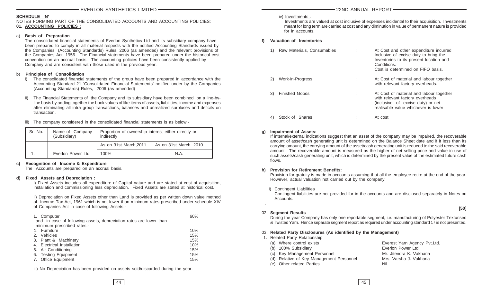# **SCHEDULE 'N'**

### NOTES FORMING PART OF THE CONSOLIDATED ACCOUNTS AND ACCOUNTING POLICIES: **01. ACCOUNTING POLICIES :**

## a) **Basis of Preparation**

The consolidated financial statements of Everlon Synthetics Ltd and its subsidiary company have been prepared to comply in all material respects with the notified Accounting Standards issued by the Companies (Accounting Standards) Rules, 2006 (as amended) and the relevant provisions of the Companies Act, 1956. The Financial statements have been prepared under the historical cost convention on an accrual basis. The accounting policies have been consistently applied by Company and are consistent with those used in the previous year.

# b) **Principles of Consolidation**

- i) The consolidated financial statements of the group have been prepared in accordance with the Accounting Standard 21 'Consolidated Financial Statements' notified under by the Companies (Accounting Standards) Rules, 2006 (as amended)
- ii) The Financial Statements of the Company and its subsidiary have been combined on a line-byline basis by adding together the book values of like items of assets, liabilities, income and expenses after eliminating all intra group transactions, balances and unrealized surpluses and deficits on transaction.
- iii) The company considered in the consolidated financial statements is as below:-

| Sr. No. | Name of Company<br>(Subsidiary) | Proportion of ownership interest either directly or<br>indirectly |                        |
|---------|---------------------------------|-------------------------------------------------------------------|------------------------|
|         |                                 | As on 31st March, 2011                                            | As on 31st March, 2010 |
|         | Everlon Power Ltd.              | 100%                                                              | N.A.                   |

# **c) Recognition of Income & Expenditure**

The Accounts are prepared on an accrual basis.

# **d) Fixed Assets and Depreciation :**

i) Fixed Assets includes all expenditure of Capital nature and are stated at cost of acquisition, installation and commissioning less depreciation. Fixed Assets are stated at historical cost.

ii) Depreciation on Fixed Assets other than Land is provided as per written down value method of Income Tax Act, 1961 which is not lower than minimum rates prescribed under schedule XIV of Companies Act in case of following Assets:-

| 1. Computer                                                        | 60% |
|--------------------------------------------------------------------|-----|
| and in case of following assets, depreciation rates are lower than |     |
| minimum prescribed rates:-                                         |     |
| 1. Furniture                                                       | 10% |
| 2. Vehicles                                                        | 15% |
| 3. Plant & Machinery                                               | 15% |
| 4. Electrical Installation                                         | 10% |
| 5. Air Conditioning                                                | 15% |
| 6. Testing Equipment                                               | 15% |
| 7. Office Equipment                                                | 15% |
|                                                                    |     |

iii) No Depreciation has been provided on assets sold/discarded during the year.

#### iv) Investments .

Investments are valued at cost inclusive of expenses incidental to their acquisition. Investments meant for long term are carried at cost and any diminution in value of permanent nature is provided for in accounts.

# **f) Valuation of Inventories**

| 1) | Raw Materials, Consumables |                | At Cost and other expenditure incurred<br>Inclusive of excise duty to bring the<br>Inventories to its present location and<br>Conditions.<br>Cost is determined on FIFO basis. |
|----|----------------------------|----------------|--------------------------------------------------------------------------------------------------------------------------------------------------------------------------------|
| 2) | Work-in-Progress           | ٠<br>$\lambda$ | At Cost of material and labour together<br>with relevant factory overheads.                                                                                                    |
| 3) | <b>Finished Goods</b>      |                | At Cost of material and labour together<br>with relevant factory overheads<br>(inclusive of excise duty) or net<br>realisable value whichever is lower                         |
| 4  | Shares<br>Stock of         |                | At cost                                                                                                                                                                        |

# **g) Impairment of Assets:**

If internal/external indications suggest that an asset of the company may be impaired, the recoverable amount of asset/cash generating unit is determined on the Balance Sheet date and if it less than its carrying amount, the carrying amount of the asset/cash generating unit is reduced to the said recoverable amount. The recoverable amount is measured as the higher of net selling price and value in use of such assets/cash generating unit, which is determined by the present value of the estimated future cash flows.

#### **h) Provision for Retirement Benefits:**

Provision for gratuity is made in accounts assuming that all the employee retire at the end of the year. However, actual valuation not carried out by the company.

i) Contingent Liabilities

Contingent liabilities are not provided for in the accounts and are disclosed separately in Notes on Accounts.

**[50]**

#### 02. **Segment Results**

.

During the year Company has only one reportable segment, i.e. manufacturing of Polyester Texturised & Twisted Yarn. Hence separate segment report as required under accounting standard 17 is not presented.

#### 03. **Related Party Disclosures (As identified by the Management)**

1. Related Party Relationship

| (a) Where control exists                 | Everest Yarn Agency Pvt.Ltd. |
|------------------------------------------|------------------------------|
| (b) 100% Subsidiary                      | Everlon Power Ltd            |
| (c) Key Management Personnel             | Mr. Jitendra K. Vakharia     |
| (d) Relative of Key Management Personnel | Mrs. Varsha J. Vakharia      |
| (e) Other related Parties                | Nil                          |
|                                          |                              |

44 45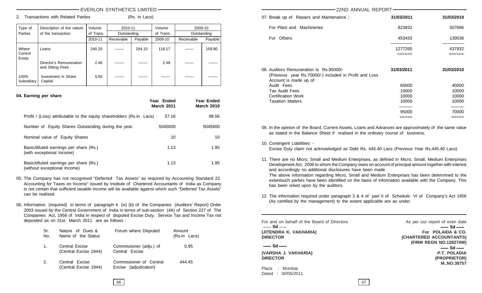2. Transactions with Related Parties (Rs. in Lacs)

**Year Ended Year Ended**

| Type of            | Description of the nature                   | Volume    | 2010-11     |         | Volume    | 2009-10     |         |
|--------------------|---------------------------------------------|-----------|-------------|---------|-----------|-------------|---------|
| Parties            | of the transaction                          | of Trans. | Outstanding |         | of Trans. | Outstanding |         |
|                    |                                             | 2010-11   | Receivable  | Payable | 2009-10   | Receivable  | Payable |
| Where<br>Control   | Loans                                       | 240.25    |             | 254.10  | 118.17    |             | 159.80  |
| Exists             | Director's Remuneration<br>and Sitting Fees | 2.46      |             |         | 2.48      |             |         |
| 100%<br>Subsidiary | Investment in Share<br>Capital              | 5.00      |             |         |           |             |         |

#### **04. Earning per share**

|                                                                        | <b>March 2011</b> | .<br><b>March 2010</b> |
|------------------------------------------------------------------------|-------------------|------------------------|
| Profit / (Loss) attributable to the equity shareholders (Rs.in Lacs)   | 57.16             | 98.56                  |
| Number of Equity Shares Outstanding during the year.                   | 5045600           | 5045600                |
| Nominal value of Equity Shares                                         | 10                | 10                     |
| Basic/diluted earnings per share (Rs.)<br>(with exceptional Income)    | 1.13              | 1.95                   |
| Basic/diluted earnings per share (Rs.)<br>(without exceptional Income) | 1.13              | 1.95                   |

- 05. The Company has not recognised "Deferred Tax Assets" as required by Accounting Standard 22. Accounting for Taxes on Income" issued by Institute of Chartered Accountants of India as Company is not certain that sufficient taxable income will be available against which such "Deferred Tax Assets" can be realised.
- 06. Information (required) in terms of paragraph 4 (ix) (b) of the Companies (Auditors' Report) Order 2003 issued by the Central Government of India in terms of sub-section (4A) of Section 227 of The Companies Act, 1956 of India in respect of disputed Excise Duty, Service Tax and Income Tax not deposited as on 31st March 2011 are as follows :

| Sr.<br>No. | Nature of Dues &<br>Name of the Status         | Forum where Disputed                             | Amount<br>(Rs.in Lacs) |
|------------|------------------------------------------------|--------------------------------------------------|------------------------|
| 1.         | <b>Central Excise</b><br>(Central Excise 1944) | Commissioner (adju.) of<br>Central Excise        | 0.95                   |
| 2.         | Central Excise<br>(Central Excise 1944)        | Commissioner of Central<br>Excise (adjudication) | 444.45                 |

| 07. Break up of Repairs and Maintenance:                                                          | 31/03/2011     | 31/03/2010              |
|---------------------------------------------------------------------------------------------------|----------------|-------------------------|
| For Plant and Machineries                                                                         | 823832         | 307896                  |
| For Others                                                                                        | 453433         | 130036                  |
|                                                                                                   | 1277265        | 437932                  |
| 08. Auditors Remuneration is Rs.95000/-<br>(Previous year Rs.70000/-) included in Profit and Loss | 31/03/2011     | 31/03/2010              |
| Account is made up of:<br>Audit Fees<br><b>Tax Audit Fees</b>                                     | 65000<br>10000 | 40000<br>10000<br>10000 |
| Certification Work<br><b>Taxation Matters</b>                                                     | 10000<br>10000 | 10000                   |

09. In the opinion of the Board, Current Assets, Loans and Advances are approximately of the same value as stated in the Balance Sheet if realised in the ordinary course of business.

10. Contingent Liabilities: -

Excise Duty claim not acknowledged as Debt Rs. 445.40 Lacs (Previous Year Rs.445.40 Lacs)

11. There are no Micro, Small and Medium Enterprises, as defined in Micro, Small, Medium Enterprises Development Act, 2006 to whom the Company owes on account of principal amount together with interest and accordingly no additional disclosures have been made.

The above information regarding Micro, Small and Medium Enterprises has been determined to the extentsuch parties have been identified on the basis of information available with the Company. This has been relied upon by the auditors.

12. The information required under paragraph 3 & 4 of part II of Schedule VI of Company's Act 1956 (As certified by the management) to the extent applicable are as under.

| For and on behalf of the Board of Directors<br>$-$ Sd $-$ | As per our report of even date<br>$-$ Sd $-$ |
|-----------------------------------------------------------|----------------------------------------------|
| (JITENDRA K. VAKHARIA)                                    | For POLAIDA & CO.                            |
| <b>DIRECTOR</b>                                           | (CHARTERED ACCOUNTANTS)                      |
|                                                           | (FIRM REGN NO.128274W)                       |
| $-$ Sd $-$                                                | $-$ Sd $-$                                   |
| (VARSHA J. VAKHARIA)                                      | <b>P.T. POLADIA</b>                          |
| <b>DIRECTOR</b>                                           | (PROPRIETOR)                                 |
|                                                           | M., NO.38757                                 |
| : Mumbai<br>Place                                         |                                              |
| Dated: 30/05/2011                                         |                                              |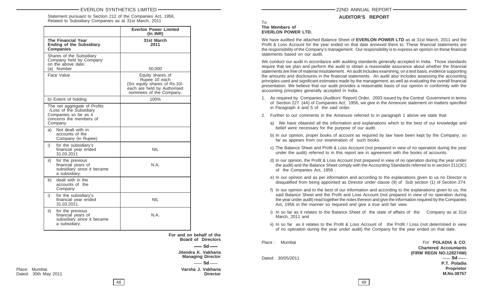Statement pursuant to Section 212 of the Companies Act, 1956, Related to Subsidiary Companies as at 31st March, 2011

|                                                                                                                         | <b>Everlon Power Limited</b><br>$(In$ INR $)$                                                                                 |
|-------------------------------------------------------------------------------------------------------------------------|-------------------------------------------------------------------------------------------------------------------------------|
| <b>The Financial Year</b><br><b>Ending of the Subsidiary</b><br><b>Companies</b>                                        | 31st March<br>2011                                                                                                            |
| Shares of the Subsidiary<br>Company held by Company<br>on the above date:<br>(a) Number                                 | 50,000                                                                                                                        |
| Face Value                                                                                                              | Equity shares of<br>Rupee 10 each<br>(Six equity shares of Rs.10/-<br>each are held by Authorised<br>nominees of the Company. |
| b) Extent of holding                                                                                                    | 100%                                                                                                                          |
| The net aggregate of Profits<br>/Loss of the Subsidiary<br>Companies so far as it<br>concerns the members of<br>Company |                                                                                                                               |
| Not dealt with in<br>a)<br>accounts of the<br>Company (in Rupee)                                                        |                                                                                                                               |
| i)<br>for the subsidiary's<br>financial year ended<br>31.03.2011                                                        | NIL                                                                                                                           |
| ii)<br>for the previous<br>financial years of<br>subsidiary since it became<br>a subsidiary.                            | N.A.                                                                                                                          |
| dealt with in the<br>b)<br>accounts of the<br>Company                                                                   |                                                                                                                               |
| for the subsidiary's<br>i)<br>financial year ended<br>31.03.2011.                                                       | <b>NIL</b>                                                                                                                    |
| ii)<br>for the previous<br>financial years of<br>subsidiary since it became<br>a subsidiary.                            | N.A.                                                                                                                          |

**For and on behalf of the Board of Directors Jitendra K. Vakharia Managing Director**  $-$  Sd $\frac{S_d}{S_d}$ 

# **AUDITOR'S REPORT**

#### To **The Members of EVERLON POWER LTD.**

We have audited the attached Balance Sheet of **EVERLON POWER LTD** as at 31st March, 2011 and the Profit & Loss Account for the year ended on that date annexed there to. These financial statements are the responsibility of the Company's management. Our responsibility is to express an opinion on these financial statements based on our audit.

We conduct our audit in accordance with auditing standards generally accepted in India. Those standards require that we plan and perform the audit to obtain a reasonable assurance about whether the financial statements are free of material misstatement. An audit includes examining, on a test basis, evidence supporting the amounts and disclosures in the financial statements. An audit also includes assessing the accounting principles used and significant estimates made by the management, as well as evaluating the overall financial presentation. We believe that our audit provides a reasonable basis of our opinion in conformity with the accounting principles generally accepted in India.

- 1. As required by Companies (Auditors' Report) Order, 2003 issued by the Central Government in terms of Section 227 (4A) of Companies Act, 1956, we give in the Annexure statement on matters specified in Paragraph 4 and 5 of the said order.
- 2. Further to our comments in the Annexure referred to in paragraph 1 above we state that:
	- a) We have obtained all the information and explanations which to the best of our knowledge and belief were necessary for the purpose of our audit.
	- b) In our opinion, proper books of account as required by law have been kept by the Company, so far as appears from our examination of such books.
	- c) The Balance Sheet and Profit & Loss Account (not prepared in view of no operation during the year under the audit) referred to in this report are in agreement with the books of accounts.
	- d) In our opinion, the Profit & Loss Account (not prepared in view of no operation during the year under the audit) and the Balance Sheet comply with the Accounting Standards referred to in section 211(3C) of the Companies Act, 1956 .
	- e) In our opinion and as per information and according to the explanations given to us no Director is disqualified from being appointed as Director under clause (9) of Sub section (1) of Section 274.
	- f) In our opinion and to the best of our information and according to the explanations given to us, the said Balance Sheet and the Profit and Loss Account (not prepared in view of no operation during the year under audit) read together the notes thereon and give the information required by the Companies Act, 1956 in the manner so required and give a true and fair view.
	- i) In so far as it relates to the Balance Sheet of the state of affairs of the Company as at 31st March, 2011 and
	- ii) In so far as it relates to the Profit & Loss Account of the Profit / Loss (not determined in view of no operation during the year under audit) the Company for the year ended on that date.

Dated: 30/05/2011

Place : Mumbai **For POLADIA & CO. Chartered Accountants (FIRM REGN NO.128274W) P.T. Poladia Proprietor M.No.38757**  $\equiv$  Sd $\equiv$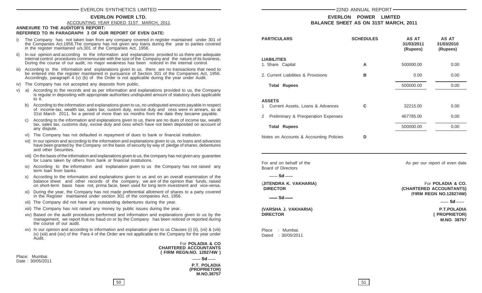#### **EVERLON POWER LTD.**

#### ACCOUNTING YEAR ENDED 31ST MARCH, 2011

#### **ANNEXURE TO THE AUDITOR'S REPORT: REFERRED TO IN PARAGRAPH 3 OF OUR REPORT OF EVEN DATE:**

- i) The Company has not taken loan from any company covered in register maintained under 301 of the Companies Act.1956.The company has not given any loans during the year to parties covered in the register maintained u/s.301 of the Companies Act, 1956.
- ii) In our opinion and according to the information and explanations provided to us there are adequate internal control procedures commensurate with the size of the Company and the nature of its business. During the course of our audit, no major weakness has been noticed in the internal control.
- According to the information and explanations given to us, there are no transactions that need to be entered into the register maintained in pursuance of Section 301 of the Companies Act, 1956. Accordingly, paragraph 4 (v) (b) of the Order is not applicable during the year under Audit.
- iv) The Company has not accepted any deposits from public.
- v) a) According to the records and as per information and explanations provided to us, the Company is regular in depositing with appropriate authorities undisputed amount of statutory dues applicable to it.
	- b) According to the information and explanations given to us, no undisputed amounts payable in respect of income-tax, wealth tax, sales tax, custom duty, excise duty and cess were in arrears, as at 31st March 2011, for a period of more than six months from the date they became payable.
	- c) According to the information and explanations given to us, there are no dues of income tax, wealth tax, sales tax, customs duty, excise duty and cess which have not been deposited on account of any dispute.
	- vi) The Company has not defaulted in repayment of dues to bank or financial institution.
	- vii) In our opinion and according to the information and explanations given to us, no loans and advances have been granted by the Company on the basis of security by way of pledge of shares, debentures and other Securities.
	- viii) On the basis of the information and explanations given to us, the company has not given any guarantee for Loans taken by others from bank or financial institutions.
	- ix) According to the information and explanation given to us the Company has not raised any term loan from banks.
	- x) According to the information and explanations given to us and on an overall examination of the balance sheet and other records of the company, we are of the opinion that funds, raised on short-term basis have not, prima facie, been used for long term investment and vice-versa.
	- xi) During the year, the Company has not made preferential allotment of shares to a party covered in the Register maintained under section 301 of the companies Act, 1956.
	- xii) The Company did not have any outstanding debentures during the year.
	- xiii) The Company has not raised any money by public issues during the year.
	- xiv) Based on the audit procedures performed and information and explanations given to us by the management, we report that no fraud on or by the Company has been noticed or reported during the course of our audit.
	- xv) In our opinion and according to information and explanation given to us Clauses (i) (ii), (vii) & (viii) (x) (xiii) and (xiv) of the Para 4 of the Order are not applicable to the Company for the year under Audit.

For **POLADIA & CO CHARTERED ACCOUNTANTS ( FIRM REGN.NO. 128274W )**

Place: Mumbai. Date : 30/05/2011

| ๛๛๛๛๛<br>VO. 128274W)                     |  |
|-------------------------------------------|--|
| $-$ Sd $-$                                |  |
| <b>P.T. POLADIA</b><br><b>BBABBIETAB\</b> |  |

**(PROPRIETOR) M.NO.38757**

# **EVERLON POWER LIMITED BALANCE SHEET AS ON 31ST MARCH, 2011**

| <b>PARTICULARS</b>                                      | <b>SCHEDULES</b> | AS AT<br>31/03/2011<br>(Rupees) | <b>AS AT</b><br>31/03/2010<br>(Rupees) |
|---------------------------------------------------------|------------------|---------------------------------|----------------------------------------|
| <b>LIABILITIES</b><br>1. Share Capital                  | A                | 500000.00                       | 0.00                                   |
| 2. Current Liabilities & Provisions                     | в                | 0.00                            | 0.00                                   |
| <b>Total Rupees</b>                                     |                  | 500000.00                       | 0.00                                   |
| <b>ASSETS</b><br>Current Assets, Loans & Advances<br>1. | C                | 32215.00                        | 0.00                                   |
| Preliminary & Preoperation Expenses<br>2                |                  | 467785.00                       | 0.00                                   |
| <b>Total Rupees</b>                                     |                  | 500000.00                       | 0.00                                   |
| Notes on Accounts & Accounting Policies                 | D                |                                 |                                        |

Board of Directors

For and on behalf of the Assessment of the Assessment of even date

 $-$ **Sd** 

 $-$  Sd  $-$ 

**(VARSHA J. VAKHARIA) P.T.POLADIA DIRECTOR ( PROPRIETOR)**

Place : Mumbai. Dated : 30/05/2011

(**JITENDRA K. VAKHARIA)** For **POLADIA & CO. DIRECTOR (CHARTERED ACCOUNTANTS)** (**FIRM REGN NO.128274W)**

 $\frac{S_d}{S_d}$ 

**M.NO. 38757**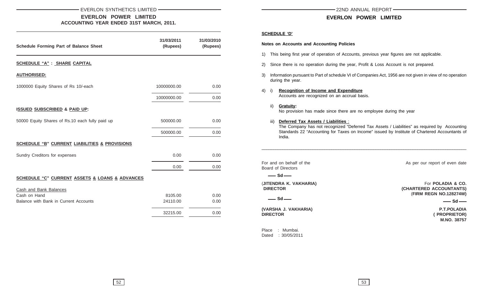#### EVERLON SYNTHETICS LIMITED 22ND ANNUAL REPORT 22ND ANNUAL REPORT

**EVERLON POWER LIMITED ACCOUNTING YEAR ENDED 31ST MARCH, 2011.**

| <b>Schedule Forming Part of Balance Sheet</b>            | 31/03/2011<br>(Rupees) | 31/03/2010<br>(Rupees) |
|----------------------------------------------------------|------------------------|------------------------|
| <b>SCHEDULE "A" : SHARE CAPITAL</b>                      |                        |                        |
| <b>AUTHORISED:</b>                                       |                        |                        |
| 1000000 Equity Shares of Rs 10/-each                     | 10000000.00            | 0.00                   |
|                                                          | 10000000.00            | 0.00                   |
| <b>ISSUED SUBSCRIBED &amp; PAID UP:</b>                  |                        |                        |
| 50000 Equity Shares of Rs.10 each fully paid up          | 500000.00              | 0.00                   |
|                                                          | 500000.00              | 0.00                   |
| <b>SCHEDULE "B" CURRENT LIABILITIES &amp; PROVISIONS</b> |                        |                        |
| Sundry Creditors for expenses                            | 0.00                   | 0.00                   |
|                                                          | 0.00                   | 0.00                   |
| SCHEDULE "C" CURRENT ASSETS & LOANS & ADVANCES           |                        |                        |
| Cash and Bank Balances                                   |                        |                        |
| Cash on Hand                                             | 8105.00                | 0.00                   |
| Balance with Bank in Current Accounts                    | 24110.00               | 0.00                   |
|                                                          | 32215.00               | 0.00                   |

# **EVERLON POWER LIMITED**

#### **SCHEDULE 'D'**

#### **Notes on Accounts and Accounting Policies**

- 1) This being first year of operation of Accounts, previous year figures are not applicable.
- 2) Since there is no operation during the year, Profit & Loss Account is not prepared.
- 3) Information pursuant to Part of schedule VI of Companies Act, 1956 are not given in view of no operation during the year.

### 4) i) **Recognition of Income and Expenditure** Accounts are recognized on an accrual basis.

- ii) **Gratuity:** No provision has made since there are no employee during the year
- iii) **Deferred Tax Assets / Liabilities** :

The Company has not recognized "Deferred Tax Assets / Liabilities" as required by Accounting Standards 22 "Accounting for Taxes on Income" issued by Institute of Chartered Accountants of India.

\_\_\_\_\_\_\_\_\_\_\_\_\_\_\_\_\_\_\_\_\_\_\_\_\_\_\_\_\_\_\_\_\_\_\_\_\_\_\_\_\_\_\_\_\_\_\_\_\_\_\_\_\_\_\_\_\_\_\_\_\_\_\_\_\_\_\_\_\_\_\_\_\_\_\_\_\_\_\_\_\_\_\_\_\_\_\_\_

Board of Directors

 $-$  Sd  $-$ 

**(VARSHA J. VAKHARIA) P.T.POLADIA DIRECTOR ( PROPRIETOR)**

Place : Mumbai. Dated : 30/05/2011

For and on behalf of the As per our report of even date

(**JITENDRA K. VAKHARIA)** For **POLADIA & CO. DIRECTOR COUNTANTS) CHARTERED ACCOUNTANTS** (**FIRM REGN NO.128274W)**

**Sd Sd**

**M.NO. 38757**